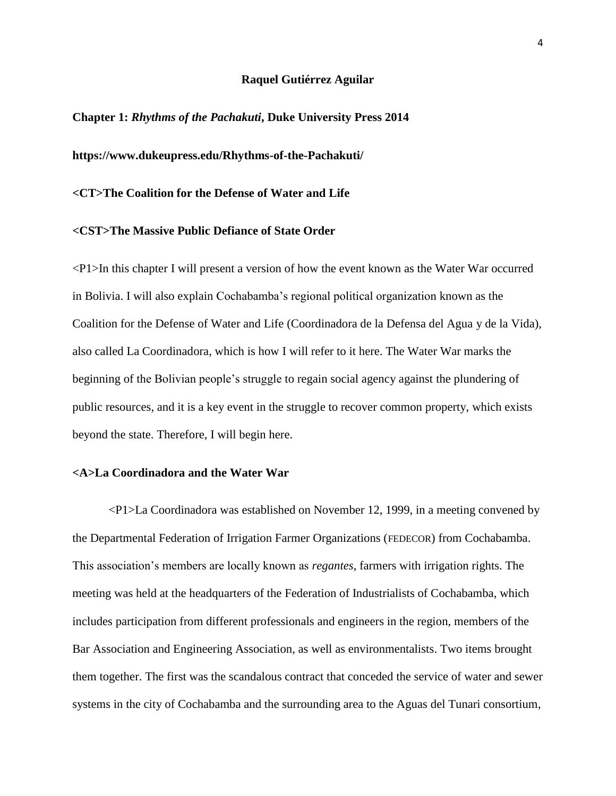## **Raquel Gutiérrez Aguilar**

#### **Chapter 1:** *Rhythms of the Pachakuti***, Duke University Press 2014**

# **https://www.dukeupress.edu/Rhythms-of-the-Pachakuti/**

# **<CT>The Coalition for the Defense of Water and Life**

#### **<CST>The Massive Public Defiance of State Order**

 $\langle P_1 \rangle$ In this chapter I will present a version of how the event known as the Water War occurred in Bolivia. I will also explain Cochabamba's regional political organization known as the Coalition for the Defense of Water and Life (Coordinadora de la Defensa del Agua y de la Vida), also called La Coordinadora, which is how I will refer to it here. The Water War marks the beginning of the Bolivian people's struggle to regain social agency against the plundering of public resources, and it is a key event in the struggle to recover common property, which exists beyond the state. Therefore, I will begin here.

## **<A>La Coordinadora and the Water War**

<P1>La Coordinadora was established on November 12, 1999, in a meeting convened by the Departmental Federation of Irrigation Farmer Organizations (FEDECOR) from Cochabamba. This association's members are locally known as *regantes*, farmers with irrigation rights. The meeting was held at the headquarters of the Federation of Industrialists of Cochabamba, which includes participation from different professionals and engineers in the region, members of the Bar Association and Engineering Association, as well as environmentalists. Two items brought them together. The first was the scandalous contract that conceded the service of water and sewer systems in the city of Cochabamba and the surrounding area to the Aguas del Tunari consortium,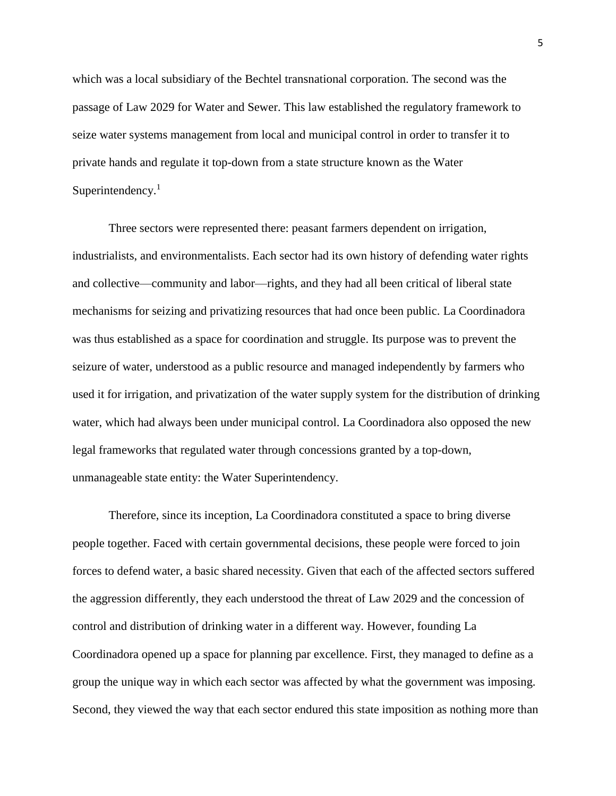which was a local subsidiary of the Bechtel transnational corporation. The second was the passage of Law 2029 for Water and Sewer. This law established the regulatory framework to seize water systems management from local and municipal control in order to transfer it to private hands and regulate it top-down from a state structure known as the Water Superintendency.<sup>1</sup>

Three sectors were represented there: peasant farmers dependent on irrigation, industrialists, and environmentalists. Each sector had its own history of defending water rights and collective—community and labor—rights, and they had all been critical of liberal state mechanisms for seizing and privatizing resources that had once been public. La Coordinadora was thus established as a space for coordination and struggle. Its purpose was to prevent the seizure of water, understood as a public resource and managed independently by farmers who used it for irrigation, and privatization of the water supply system for the distribution of drinking water, which had always been under municipal control. La Coordinadora also opposed the new legal frameworks that regulated water through concessions granted by a top-down, unmanageable state entity: the Water Superintendency.

Therefore, since its inception, La Coordinadora constituted a space to bring diverse people together. Faced with certain governmental decisions, these people were forced to join forces to defend water, a basic shared necessity. Given that each of the affected sectors suffered the aggression differently, they each understood the threat of Law 2029 and the concession of control and distribution of drinking water in a different way. However, founding La Coordinadora opened up a space for planning par excellence. First, they managed to define as a group the unique way in which each sector was affected by what the government was imposing. Second, they viewed the way that each sector endured this state imposition as nothing more than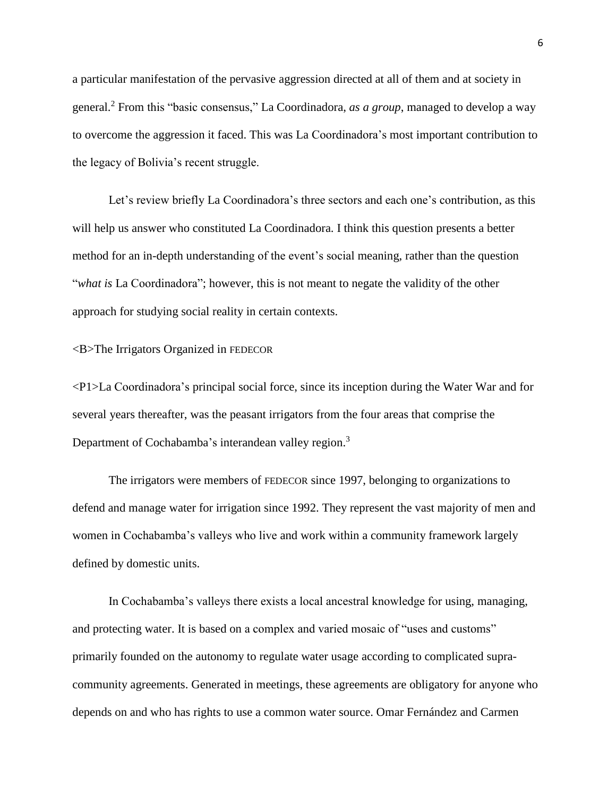a particular manifestation of the pervasive aggression directed at all of them and at society in general. <sup>2</sup> From this "basic consensus," La Coordinadora, *as a group*, managed to develop a way to overcome the aggression it faced. This was La Coordinadora's most important contribution to the legacy of Bolivia's recent struggle.

Let's review briefly La Coordinadora's three sectors and each one's contribution, as this will help us answer who constituted La Coordinadora. I think this question presents a better method for an in-depth understanding of the event's social meaning, rather than the question "*what is* La Coordinadora"; however, this is not meant to negate the validity of the other approach for studying social reality in certain contexts.

## <B>The Irrigators Organized in FEDECOR

<P1>La Coordinadora's principal social force, since its inception during the Water War and for several years thereafter, was the peasant irrigators from the four areas that comprise the Department of Cochabamba's interandean valley region.<sup>3</sup>

The irrigators were members of FEDECOR since 1997, belonging to organizations to defend and manage water for irrigation since 1992. They represent the vast majority of men and women in Cochabamba's valleys who live and work within a community framework largely defined by domestic units.

In Cochabamba's valleys there exists a local ancestral knowledge for using, managing, and protecting water. It is based on a complex and varied mosaic of "uses and customs" primarily founded on the autonomy to regulate water usage according to complicated supracommunity agreements. Generated in meetings, these agreements are obligatory for anyone who depends on and who has rights to use a common water source. Omar Fernández and Carmen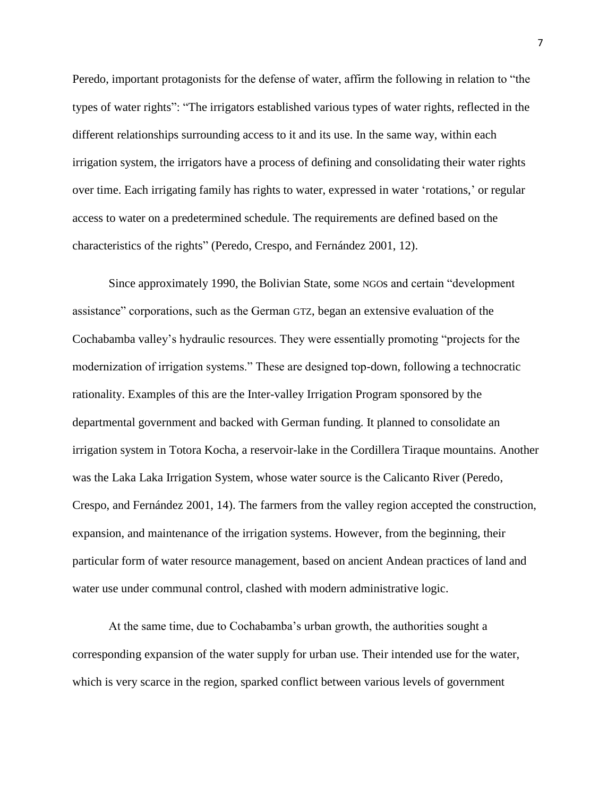Peredo, important protagonists for the defense of water, affirm the following in relation to "the types of water rights": "The irrigators established various types of water rights, reflected in the different relationships surrounding access to it and its use. In the same way, within each irrigation system, the irrigators have a process of defining and consolidating their water rights over time. Each irrigating family has rights to water, expressed in water 'rotations,' or regular access to water on a predetermined schedule. The requirements are defined based on the characteristics of the rights" (Peredo, Crespo, and Fernández 2001, 12).

Since approximately 1990, the Bolivian State, some NGOs and certain "development assistance" corporations, such as the German GTZ, began an extensive evaluation of the Cochabamba valley's hydraulic resources. They were essentially promoting "projects for the modernization of irrigation systems." These are designed top-down, following a technocratic rationality. Examples of this are the Inter-valley Irrigation Program sponsored by the departmental government and backed with German funding. It planned to consolidate an irrigation system in Totora Kocha, a reservoir-lake in the Cordillera Tiraque mountains. Another was the Laka Laka Irrigation System, whose water source is the Calicanto River (Peredo, Crespo, and Fernández 2001, 14). The farmers from the valley region accepted the construction, expansion, and maintenance of the irrigation systems. However, from the beginning, their particular form of water resource management, based on ancient Andean practices of land and water use under communal control, clashed with modern administrative logic.

At the same time, due to Cochabamba's urban growth, the authorities sought a corresponding expansion of the water supply for urban use. Their intended use for the water, which is very scarce in the region, sparked conflict between various levels of government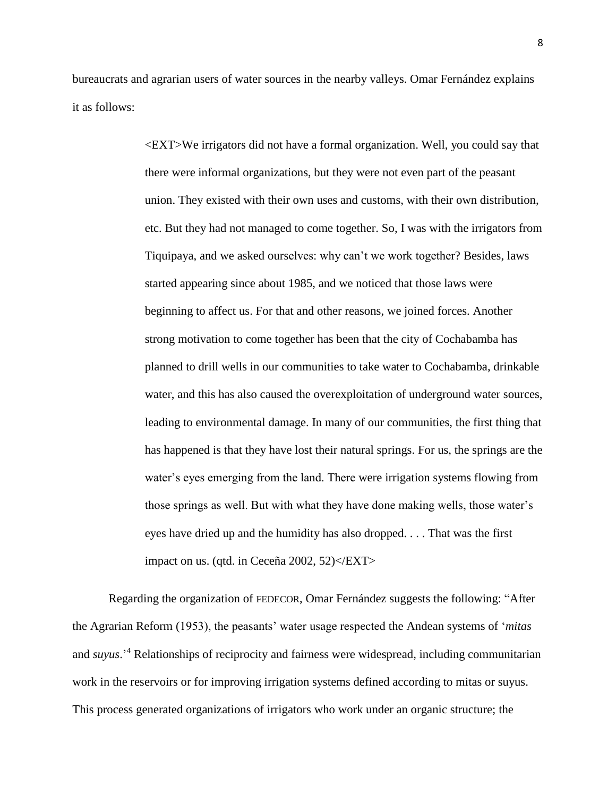bureaucrats and agrarian users of water sources in the nearby valleys. Omar Fernández explains it as follows:

> <EXT>We irrigators did not have a formal organization. Well, you could say that there were informal organizations, but they were not even part of the peasant union. They existed with their own uses and customs, with their own distribution, etc. But they had not managed to come together. So, I was with the irrigators from Tiquipaya, and we asked ourselves: why can't we work together? Besides, laws started appearing since about 1985, and we noticed that those laws were beginning to affect us. For that and other reasons, we joined forces. Another strong motivation to come together has been that the city of Cochabamba has planned to drill wells in our communities to take water to Cochabamba, drinkable water, and this has also caused the overexploitation of underground water sources, leading to environmental damage. In many of our communities, the first thing that has happened is that they have lost their natural springs. For us, the springs are the water's eyes emerging from the land. There were irrigation systems flowing from those springs as well. But with what they have done making wells, those water's eyes have dried up and the humidity has also dropped. . . . That was the first impact on us. (qtd. in Ceceña 2002, 52)</EXT>

Regarding the organization of FEDECOR, Omar Fernández suggests the following: "After the Agrarian Reform (1953), the peasants' water usage respected the Andean systems of '*mitas* and *suyus*.' <sup>4</sup> Relationships of reciprocity and fairness were widespread, including communitarian work in the reservoirs or for improving irrigation systems defined according to mitas or suyus. This process generated organizations of irrigators who work under an organic structure; the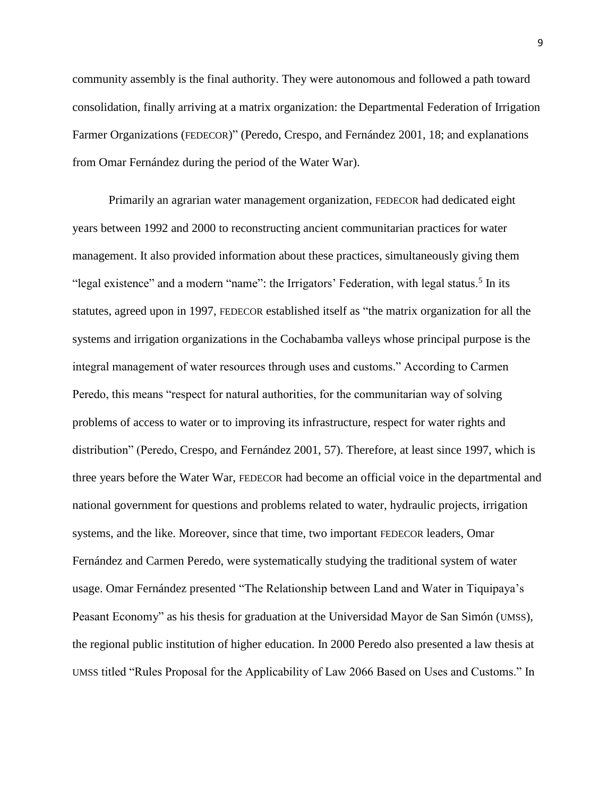community assembly is the final authority. They were autonomous and followed a path toward consolidation, finally arriving at a matrix organization: the Departmental Federation of Irrigation Farmer Organizations (FEDECOR)" (Peredo, Crespo, and Fernández 2001, 18; and explanations from Omar Fernández during the period of the Water War).

Primarily an agrarian water management organization, FEDECOR had dedicated eight years between 1992 and 2000 to reconstructing ancient communitarian practices for water management. It also provided information about these practices, simultaneously giving them "legal existence" and a modern "name": the Irrigators' Federation, with legal status.<sup>5</sup> In its statutes, agreed upon in 1997, FEDECOR established itself as "the matrix organization for all the systems and irrigation organizations in the Cochabamba valleys whose principal purpose is the integral management of water resources through uses and customs." According to Carmen Peredo, this means "respect for natural authorities, for the communitarian way of solving problems of access to water or to improving its infrastructure, respect for water rights and distribution" (Peredo, Crespo, and Fernández 2001, 57). Therefore, at least since 1997, which is three years before the Water War, FEDECOR had become an official voice in the departmental and national government for questions and problems related to water, hydraulic projects, irrigation systems, and the like. Moreover, since that time, two important FEDECOR leaders, Omar Fernández and Carmen Peredo, were systematically studying the traditional system of water usage. Omar Fernández presented "The Relationship between Land and Water in Tiquipaya's Peasant Economy" as his thesis for graduation at the Universidad Mayor de San Simón (UMSS), the regional public institution of higher education. In 2000 Peredo also presented a law thesis at UMSS titled "Rules Proposal for the Applicability of Law 2066 Based on Uses and Customs." In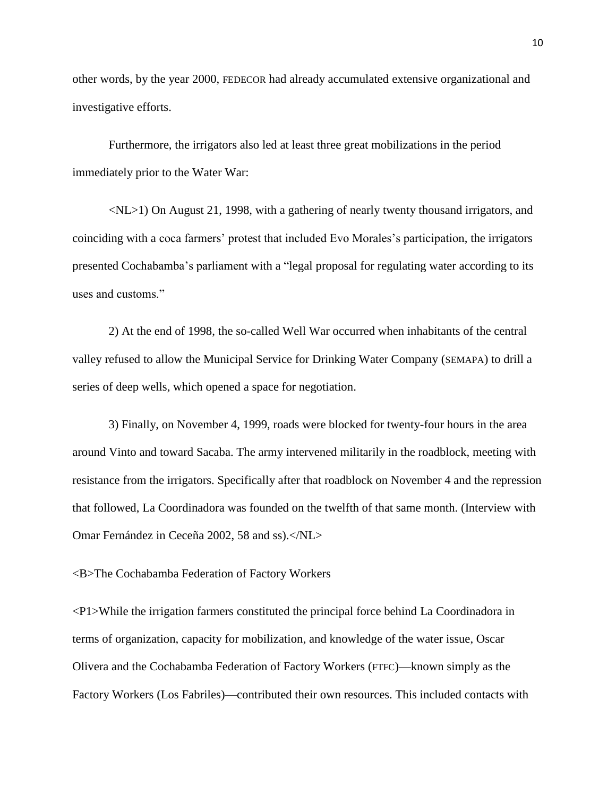other words, by the year 2000, FEDECOR had already accumulated extensive organizational and investigative efforts.

Furthermore, the irrigators also led at least three great mobilizations in the period immediately prior to the Water War:

<NL>1) On August 21, 1998, with a gathering of nearly twenty thousand irrigators, and coinciding with a coca farmers' protest that included Evo Morales's participation, the irrigators presented Cochabamba's parliament with a "legal proposal for regulating water according to its uses and customs."

2) At the end of 1998, the so-called Well War occurred when inhabitants of the central valley refused to allow the Municipal Service for Drinking Water Company (SEMAPA) to drill a series of deep wells, which opened a space for negotiation.

3) Finally, on November 4, 1999, roads were blocked for twenty-four hours in the area around Vinto and toward Sacaba. The army intervened militarily in the roadblock, meeting with resistance from the irrigators. Specifically after that roadblock on November 4 and the repression that followed, La Coordinadora was founded on the twelfth of that same month. (Interview with Omar Fernández in Ceceña 2002, 58 and ss).</NL>

<B>The Cochabamba Federation of Factory Workers

<P1>While the irrigation farmers constituted the principal force behind La Coordinadora in terms of organization, capacity for mobilization, and knowledge of the water issue, Oscar Olivera and the Cochabamba Federation of Factory Workers (FTFC)—known simply as the Factory Workers (Los Fabriles)—contributed their own resources. This included contacts with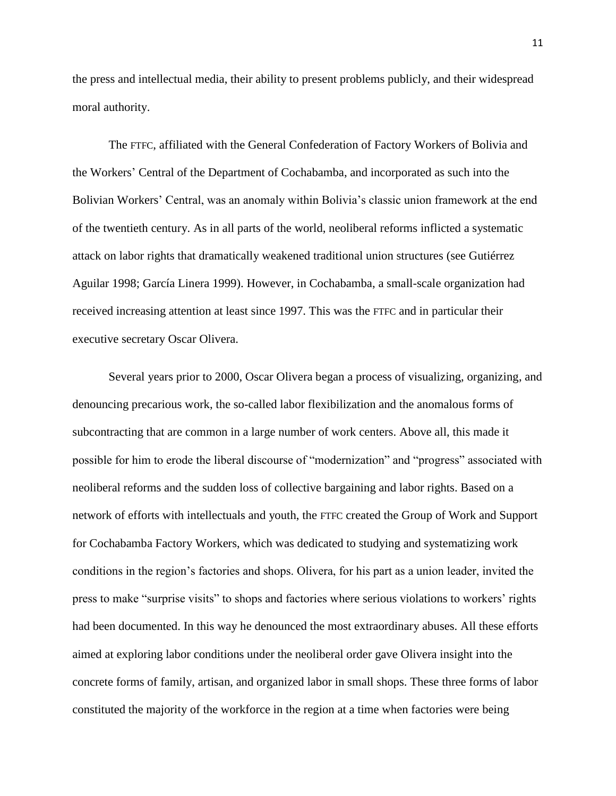the press and intellectual media, their ability to present problems publicly, and their widespread moral authority.

The FTFC, affiliated with the General Confederation of Factory Workers of Bolivia and the Workers' Central of the Department of Cochabamba, and incorporated as such into the Bolivian Workers' Central, was an anomaly within Bolivia's classic union framework at the end of the twentieth century. As in all parts of the world, neoliberal reforms inflicted a systematic attack on labor rights that dramatically weakened traditional union structures (see Gutiérrez Aguilar 1998; García Linera 1999). However, in Cochabamba, a small-scale organization had received increasing attention at least since 1997. This was the FTFC and in particular their executive secretary Oscar Olivera.

Several years prior to 2000, Oscar Olivera began a process of visualizing, organizing, and denouncing precarious work, the so-called labor flexibilization and the anomalous forms of subcontracting that are common in a large number of work centers. Above all, this made it possible for him to erode the liberal discourse of "modernization" and "progress" associated with neoliberal reforms and the sudden loss of collective bargaining and labor rights. Based on a network of efforts with intellectuals and youth, the FTFC created the Group of Work and Support for Cochabamba Factory Workers, which was dedicated to studying and systematizing work conditions in the region's factories and shops. Olivera, for his part as a union leader, invited the press to make "surprise visits" to shops and factories where serious violations to workers' rights had been documented. In this way he denounced the most extraordinary abuses. All these efforts aimed at exploring labor conditions under the neoliberal order gave Olivera insight into the concrete forms of family, artisan, and organized labor in small shops. These three forms of labor constituted the majority of the workforce in the region at a time when factories were being

11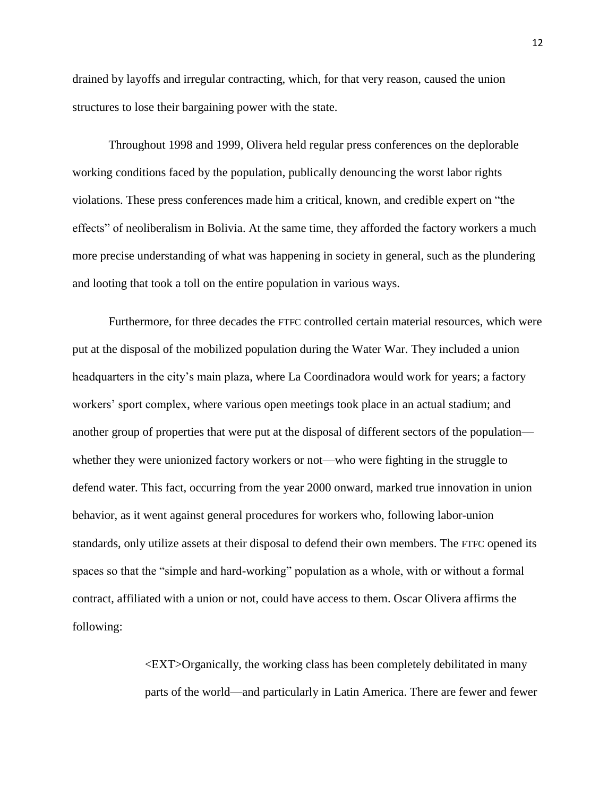drained by layoffs and irregular contracting, which, for that very reason, caused the union structures to lose their bargaining power with the state.

Throughout 1998 and 1999, Olivera held regular press conferences on the deplorable working conditions faced by the population, publically denouncing the worst labor rights violations. These press conferences made him a critical, known, and credible expert on "the effects" of neoliberalism in Bolivia. At the same time, they afforded the factory workers a much more precise understanding of what was happening in society in general, such as the plundering and looting that took a toll on the entire population in various ways.

Furthermore, for three decades the FTFC controlled certain material resources, which were put at the disposal of the mobilized population during the Water War. They included a union headquarters in the city's main plaza, where La Coordinadora would work for years; a factory workers' sport complex, where various open meetings took place in an actual stadium; and another group of properties that were put at the disposal of different sectors of the population whether they were unionized factory workers or not—who were fighting in the struggle to defend water. This fact, occurring from the year 2000 onward, marked true innovation in union behavior, as it went against general procedures for workers who, following labor-union standards, only utilize assets at their disposal to defend their own members. The FTFC opened its spaces so that the "simple and hard-working" population as a whole, with or without a formal contract, affiliated with a union or not, could have access to them. Oscar Olivera affirms the following:

> <EXT>Organically, the working class has been completely debilitated in many parts of the world—and particularly in Latin America. There are fewer and fewer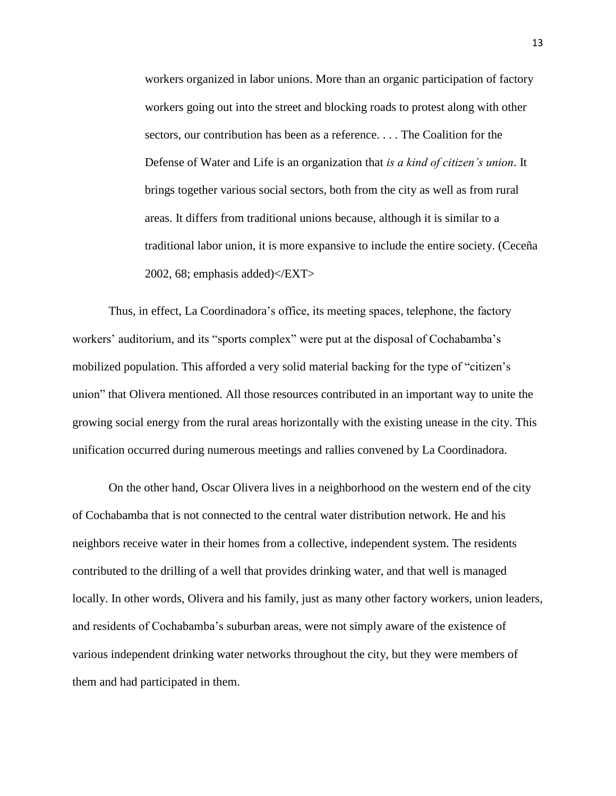workers organized in labor unions. More than an organic participation of factory workers going out into the street and blocking roads to protest along with other sectors, our contribution has been as a reference. . . . The Coalition for the Defense of Water and Life is an organization that *is a kind of citizen's union*. It brings together various social sectors, both from the city as well as from rural areas. It differs from traditional unions because, although it is similar to a traditional labor union, it is more expansive to include the entire society. (Ceceña 2002, 68; emphasis added)</EXT>

Thus, in effect, La Coordinadora's office, its meeting spaces, telephone, the factory workers' auditorium, and its "sports complex" were put at the disposal of Cochabamba's mobilized population. This afforded a very solid material backing for the type of "citizen's union" that Olivera mentioned. All those resources contributed in an important way to unite the growing social energy from the rural areas horizontally with the existing unease in the city. This unification occurred during numerous meetings and rallies convened by La Coordinadora.

On the other hand, Oscar Olivera lives in a neighborhood on the western end of the city of Cochabamba that is not connected to the central water distribution network. He and his neighbors receive water in their homes from a collective, independent system. The residents contributed to the drilling of a well that provides drinking water, and that well is managed locally. In other words, Olivera and his family, just as many other factory workers, union leaders, and residents of Cochabamba's suburban areas, were not simply aware of the existence of various independent drinking water networks throughout the city, but they were members of them and had participated in them.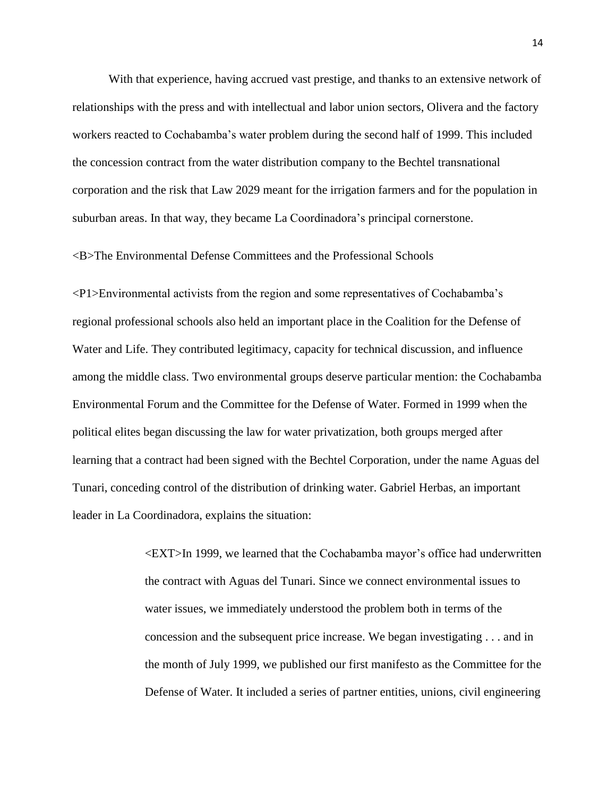With that experience, having accrued vast prestige, and thanks to an extensive network of relationships with the press and with intellectual and labor union sectors, Olivera and the factory workers reacted to Cochabamba's water problem during the second half of 1999. This included the concession contract from the water distribution company to the Bechtel transnational corporation and the risk that Law 2029 meant for the irrigation farmers and for the population in suburban areas. In that way, they became La Coordinadora's principal cornerstone.

# <B>The Environmental Defense Committees and the Professional Schools

<P1>Environmental activists from the region and some representatives of Cochabamba's regional professional schools also held an important place in the Coalition for the Defense of Water and Life. They contributed legitimacy, capacity for technical discussion, and influence among the middle class. Two environmental groups deserve particular mention: the Cochabamba Environmental Forum and the Committee for the Defense of Water. Formed in 1999 when the political elites began discussing the law for water privatization, both groups merged after learning that a contract had been signed with the Bechtel Corporation, under the name Aguas del Tunari, conceding control of the distribution of drinking water. Gabriel Herbas, an important leader in La Coordinadora, explains the situation:

> <EXT>In 1999, we learned that the Cochabamba mayor's office had underwritten the contract with Aguas del Tunari. Since we connect environmental issues to water issues, we immediately understood the problem both in terms of the concession and the subsequent price increase. We began investigating . . . and in the month of July 1999, we published our first manifesto as the Committee for the Defense of Water. It included a series of partner entities, unions, civil engineering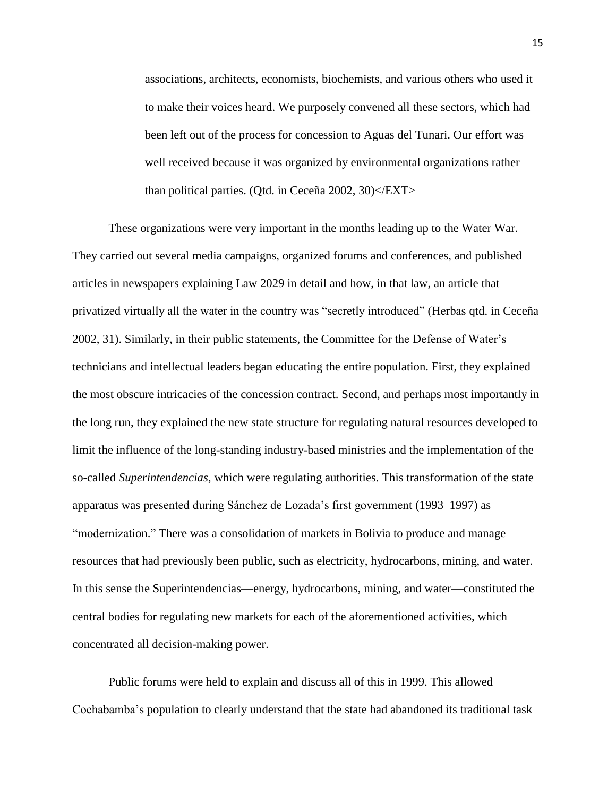associations, architects, economists, biochemists, and various others who used it to make their voices heard. We purposely convened all these sectors, which had been left out of the process for concession to Aguas del Tunari. Our effort was well received because it was organized by environmental organizations rather than political parties. (Qtd. in Ceceña 2002, 30)</EXT>

These organizations were very important in the months leading up to the Water War. They carried out several media campaigns, organized forums and conferences, and published articles in newspapers explaining Law 2029 in detail and how, in that law, an article that privatized virtually all the water in the country was "secretly introduced" (Herbas qtd. in Ceceña 2002, 31). Similarly, in their public statements, the Committee for the Defense of Water's technicians and intellectual leaders began educating the entire population. First, they explained the most obscure intricacies of the concession contract. Second, and perhaps most importantly in the long run, they explained the new state structure for regulating natural resources developed to limit the influence of the long-standing industry-based ministries and the implementation of the so-called *Superintendencias*, which were regulating authorities. This transformation of the state apparatus was presented during Sánchez de Lozada's first government (1993–1997) as "modernization." There was a consolidation of markets in Bolivia to produce and manage resources that had previously been public, such as electricity, hydrocarbons, mining, and water. In this sense the Superintendencias—energy, hydrocarbons, mining, and water—constituted the central bodies for regulating new markets for each of the aforementioned activities, which concentrated all decision-making power.

Public forums were held to explain and discuss all of this in 1999. This allowed Cochabamba's population to clearly understand that the state had abandoned its traditional task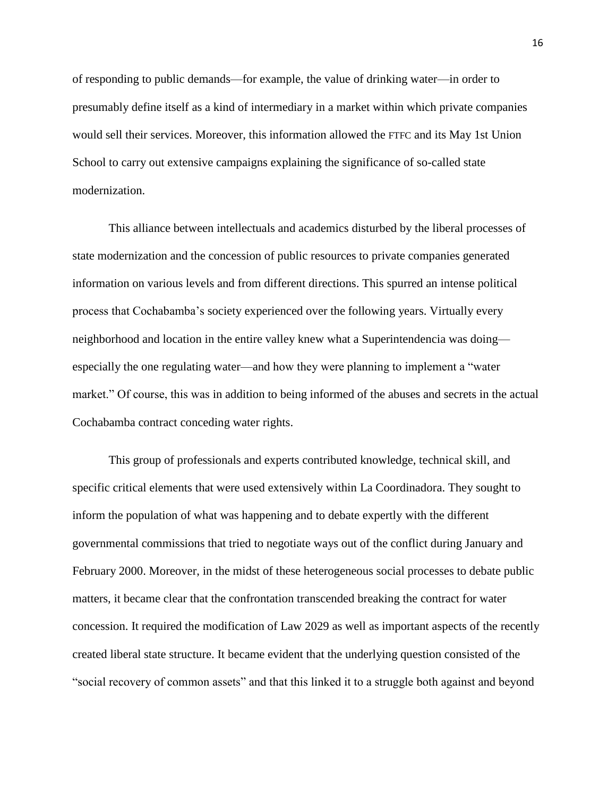of responding to public demands—for example, the value of drinking water—in order to presumably define itself as a kind of intermediary in a market within which private companies would sell their services. Moreover, this information allowed the FTFC and its May 1st Union School to carry out extensive campaigns explaining the significance of so-called state modernization.

This alliance between intellectuals and academics disturbed by the liberal processes of state modernization and the concession of public resources to private companies generated information on various levels and from different directions. This spurred an intense political process that Cochabamba's society experienced over the following years. Virtually every neighborhood and location in the entire valley knew what a Superintendencia was doing especially the one regulating water—and how they were planning to implement a "water market." Of course, this was in addition to being informed of the abuses and secrets in the actual Cochabamba contract conceding water rights.

This group of professionals and experts contributed knowledge, technical skill, and specific critical elements that were used extensively within La Coordinadora. They sought to inform the population of what was happening and to debate expertly with the different governmental commissions that tried to negotiate ways out of the conflict during January and February 2000. Moreover, in the midst of these heterogeneous social processes to debate public matters, it became clear that the confrontation transcended breaking the contract for water concession. It required the modification of Law 2029 as well as important aspects of the recently created liberal state structure. It became evident that the underlying question consisted of the "social recovery of common assets" and that this linked it to a struggle both against and beyond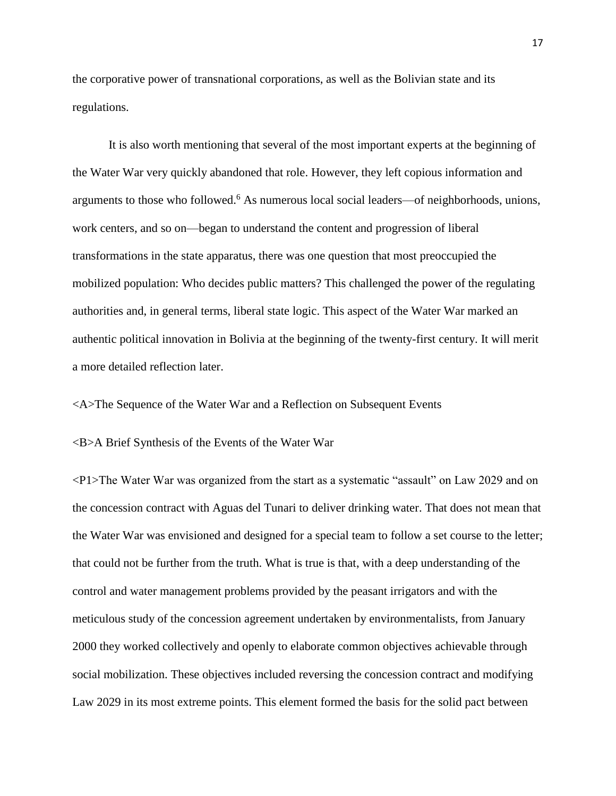the corporative power of transnational corporations, as well as the Bolivian state and its regulations.

It is also worth mentioning that several of the most important experts at the beginning of the Water War very quickly abandoned that role. However, they left copious information and arguments to those who followed.<sup>6</sup> As numerous local social leaders—of neighborhoods, unions, work centers, and so on—began to understand the content and progression of liberal transformations in the state apparatus, there was one question that most preoccupied the mobilized population: Who decides public matters? This challenged the power of the regulating authorities and, in general terms, liberal state logic. This aspect of the Water War marked an authentic political innovation in Bolivia at the beginning of the twenty-first century. It will merit a more detailed reflection later.

<A>The Sequence of the Water War and a Reflection on Subsequent Events

<B>A Brief Synthesis of the Events of the Water War

<P1>The Water War was organized from the start as a systematic "assault" on Law 2029 and on the concession contract with Aguas del Tunari to deliver drinking water. That does not mean that the Water War was envisioned and designed for a special team to follow a set course to the letter; that could not be further from the truth. What is true is that, with a deep understanding of the control and water management problems provided by the peasant irrigators and with the meticulous study of the concession agreement undertaken by environmentalists, from January 2000 they worked collectively and openly to elaborate common objectives achievable through social mobilization. These objectives included reversing the concession contract and modifying Law 2029 in its most extreme points. This element formed the basis for the solid pact between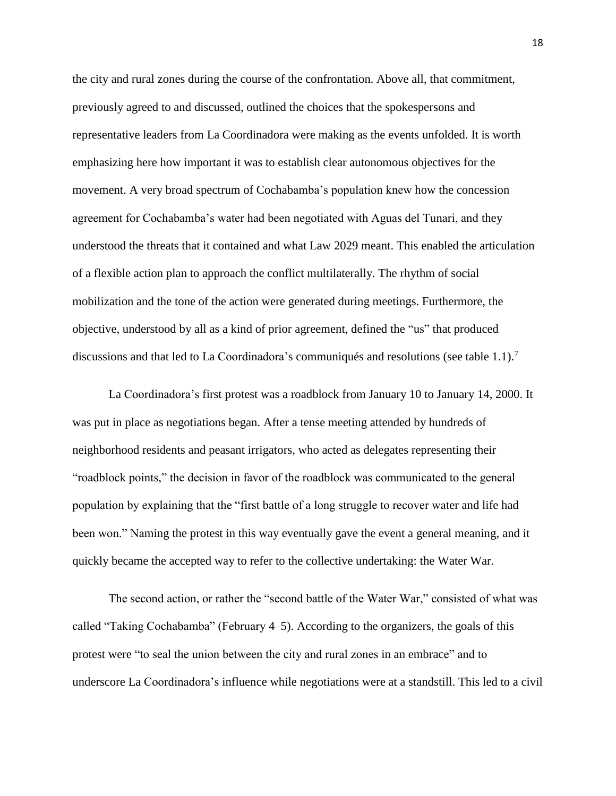the city and rural zones during the course of the confrontation. Above all, that commitment, previously agreed to and discussed, outlined the choices that the spokespersons and representative leaders from La Coordinadora were making as the events unfolded. It is worth emphasizing here how important it was to establish clear autonomous objectives for the movement. A very broad spectrum of Cochabamba's population knew how the concession agreement for Cochabamba's water had been negotiated with Aguas del Tunari, and they understood the threats that it contained and what Law 2029 meant. This enabled the articulation of a flexible action plan to approach the conflict multilaterally. The rhythm of social mobilization and the tone of the action were generated during meetings. Furthermore, the objective, understood by all as a kind of prior agreement, defined the "us" that produced discussions and that led to La Coordinadora's communiqués and resolutions (see table 1.1).<sup>7</sup>

La Coordinadora's first protest was a roadblock from January 10 to January 14, 2000. It was put in place as negotiations began. After a tense meeting attended by hundreds of neighborhood residents and peasant irrigators, who acted as delegates representing their "roadblock points," the decision in favor of the roadblock was communicated to the general population by explaining that the "first battle of a long struggle to recover water and life had been won." Naming the protest in this way eventually gave the event a general meaning, and it quickly became the accepted way to refer to the collective undertaking: the Water War.

The second action, or rather the "second battle of the Water War," consisted of what was called "Taking Cochabamba" (February 4–5). According to the organizers, the goals of this protest were "to seal the union between the city and rural zones in an embrace" and to underscore La Coordinadora's influence while negotiations were at a standstill. This led to a civil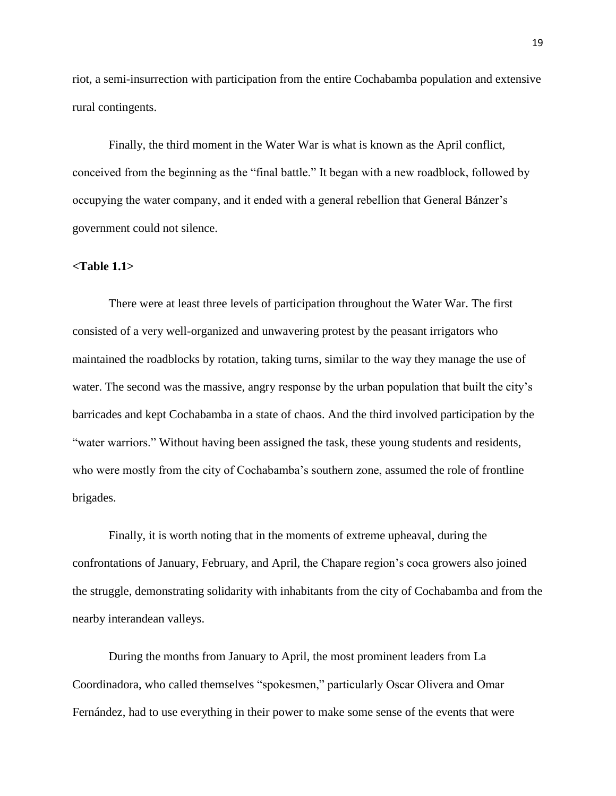riot, a semi-insurrection with participation from the entire Cochabamba population and extensive rural contingents.

Finally, the third moment in the Water War is what is known as the April conflict, conceived from the beginning as the "final battle." It began with a new roadblock, followed by occupying the water company, and it ended with a general rebellion that General Bánzer's government could not silence.

#### **<Table 1.1>**

There were at least three levels of participation throughout the Water War. The first consisted of a very well-organized and unwavering protest by the peasant irrigators who maintained the roadblocks by rotation, taking turns, similar to the way they manage the use of water. The second was the massive, angry response by the urban population that built the city's barricades and kept Cochabamba in a state of chaos. And the third involved participation by the "water warriors." Without having been assigned the task, these young students and residents, who were mostly from the city of Cochabamba's southern zone, assumed the role of frontline brigades.

Finally, it is worth noting that in the moments of extreme upheaval, during the confrontations of January, February, and April, the Chapare region's coca growers also joined the struggle, demonstrating solidarity with inhabitants from the city of Cochabamba and from the nearby interandean valleys.

During the months from January to April, the most prominent leaders from La Coordinadora, who called themselves "spokesmen," particularly Oscar Olivera and Omar Fernández, had to use everything in their power to make some sense of the events that were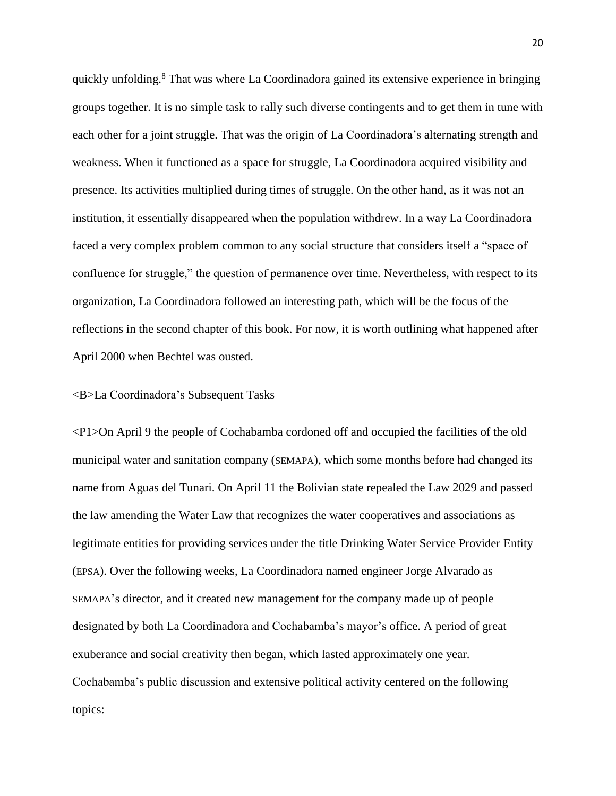quickly unfolding.<sup>8</sup> That was where La Coordinadora gained its extensive experience in bringing groups together. It is no simple task to rally such diverse contingents and to get them in tune with each other for a joint struggle. That was the origin of La Coordinadora's alternating strength and weakness. When it functioned as a space for struggle, La Coordinadora acquired visibility and presence. Its activities multiplied during times of struggle. On the other hand, as it was not an institution, it essentially disappeared when the population withdrew. In a way La Coordinadora faced a very complex problem common to any social structure that considers itself a "space of confluence for struggle," the question of permanence over time. Nevertheless, with respect to its organization, La Coordinadora followed an interesting path, which will be the focus of the reflections in the second chapter of this book. For now, it is worth outlining what happened after April 2000 when Bechtel was ousted.

## <B>La Coordinadora's Subsequent Tasks

 $\langle P1\rangle$ On April 9 the people of Cochabamba cordoned off and occupied the facilities of the old municipal water and sanitation company (SEMAPA), which some months before had changed its name from Aguas del Tunari. On April 11 the Bolivian state repealed the Law 2029 and passed the law amending the Water Law that recognizes the water cooperatives and associations as legitimate entities for providing services under the title Drinking Water Service Provider Entity (EPSA). Over the following weeks, La Coordinadora named engineer Jorge Alvarado as SEMAPA's director, and it created new management for the company made up of people designated by both La Coordinadora and Cochabamba's mayor's office. A period of great exuberance and social creativity then began, which lasted approximately one year. Cochabamba's public discussion and extensive political activity centered on the following topics: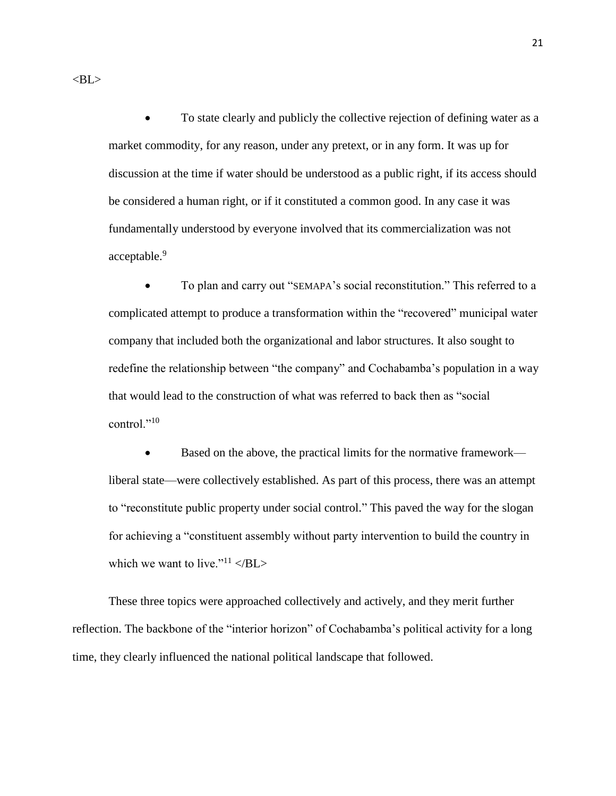<BL>

 To state clearly and publicly the collective rejection of defining water as a market commodity, for any reason, under any pretext, or in any form. It was up for discussion at the time if water should be understood as a public right, if its access should be considered a human right, or if it constituted a common good. In any case it was fundamentally understood by everyone involved that its commercialization was not acceptable.<sup>9</sup>

• To plan and carry out "SEMAPA's social reconstitution." This referred to a complicated attempt to produce a transformation within the "recovered" municipal water company that included both the organizational and labor structures. It also sought to redefine the relationship between "the company" and Cochabamba's population in a way that would lead to the construction of what was referred to back then as "social control."<sup>10</sup>

 Based on the above, the practical limits for the normative framework liberal state—were collectively established. As part of this process, there was an attempt to "reconstitute public property under social control." This paved the way for the slogan for achieving a "constituent assembly without party intervention to build the country in which we want to live."<sup>11</sup> </BL>

These three topics were approached collectively and actively, and they merit further reflection. The backbone of the "interior horizon" of Cochabamba's political activity for a long time, they clearly influenced the national political landscape that followed.

21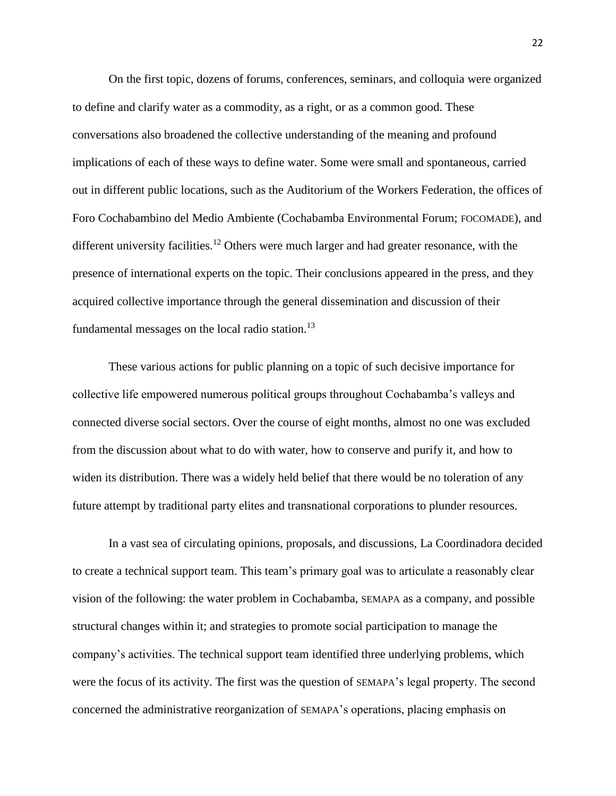On the first topic, dozens of forums, conferences, seminars, and colloquia were organized to define and clarify water as a commodity, as a right, or as a common good. These conversations also broadened the collective understanding of the meaning and profound implications of each of these ways to define water. Some were small and spontaneous, carried out in different public locations, such as the Auditorium of the Workers Federation, the offices of Foro Cochabambino del Medio Ambiente (Cochabamba Environmental Forum; FOCOMADE), and different university facilities.<sup>12</sup> Others were much larger and had greater resonance, with the presence of international experts on the topic. Their conclusions appeared in the press, and they acquired collective importance through the general dissemination and discussion of their fundamental messages on the local radio station. $^{13}$ 

These various actions for public planning on a topic of such decisive importance for collective life empowered numerous political groups throughout Cochabamba's valleys and connected diverse social sectors. Over the course of eight months, almost no one was excluded from the discussion about what to do with water, how to conserve and purify it, and how to widen its distribution. There was a widely held belief that there would be no toleration of any future attempt by traditional party elites and transnational corporations to plunder resources.

In a vast sea of circulating opinions, proposals, and discussions, La Coordinadora decided to create a technical support team. This team's primary goal was to articulate a reasonably clear vision of the following: the water problem in Cochabamba, SEMAPA as a company, and possible structural changes within it; and strategies to promote social participation to manage the company's activities. The technical support team identified three underlying problems, which were the focus of its activity. The first was the question of SEMAPA's legal property. The second concerned the administrative reorganization of SEMAPA's operations, placing emphasis on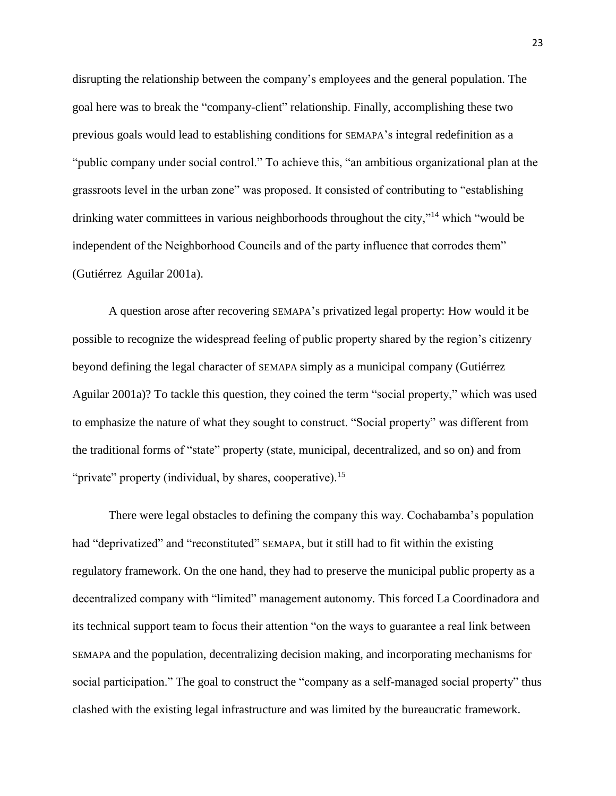disrupting the relationship between the company's employees and the general population. The goal here was to break the "company-client" relationship. Finally, accomplishing these two previous goals would lead to establishing conditions for SEMAPA's integral redefinition as a "public company under social control." To achieve this, "an ambitious organizational plan at the grassroots level in the urban zone" was proposed. It consisted of contributing to "establishing drinking water committees in various neighborhoods throughout the city,"<sup>14</sup> which "would be independent of the Neighborhood Councils and of the party influence that corrodes them" (Gutiérrez Aguilar 2001a).

A question arose after recovering SEMAPA's privatized legal property: How would it be possible to recognize the widespread feeling of public property shared by the region's citizenry beyond defining the legal character of SEMAPA simply as a municipal company (Gutiérrez Aguilar 2001a)? To tackle this question, they coined the term "social property," which was used to emphasize the nature of what they sought to construct. "Social property" was different from the traditional forms of "state" property (state, municipal, decentralized, and so on) and from "private" property (individual, by shares, cooperative).<sup>15</sup>

There were legal obstacles to defining the company this way. Cochabamba's population had "deprivatized" and "reconstituted" SEMAPA, but it still had to fit within the existing regulatory framework. On the one hand, they had to preserve the municipal public property as a decentralized company with "limited" management autonomy. This forced La Coordinadora and its technical support team to focus their attention "on the ways to guarantee a real link between SEMAPA and the population, decentralizing decision making, and incorporating mechanisms for social participation." The goal to construct the "company as a self-managed social property" thus clashed with the existing legal infrastructure and was limited by the bureaucratic framework.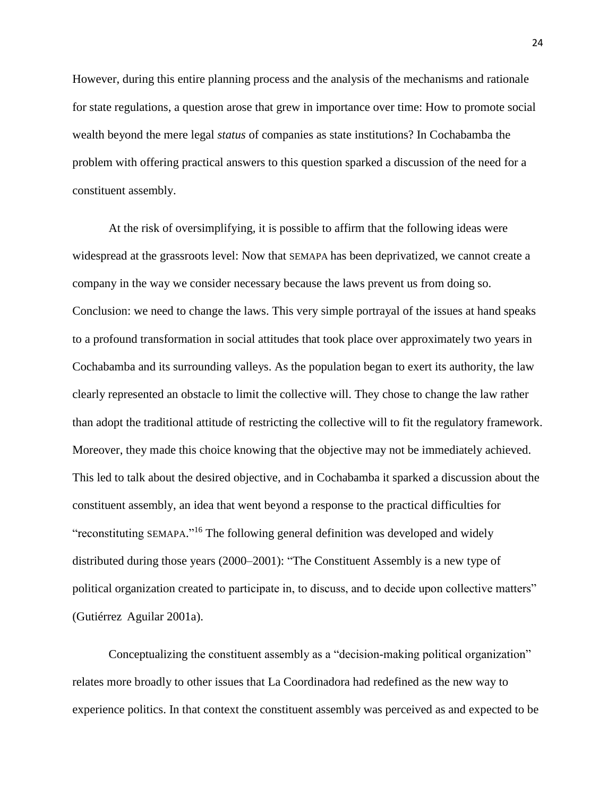However, during this entire planning process and the analysis of the mechanisms and rationale for state regulations, a question arose that grew in importance over time: How to promote social wealth beyond the mere legal *status* of companies as state institutions? In Cochabamba the problem with offering practical answers to this question sparked a discussion of the need for a constituent assembly.

At the risk of oversimplifying, it is possible to affirm that the following ideas were widespread at the grassroots level: Now that SEMAPA has been deprivatized, we cannot create a company in the way we consider necessary because the laws prevent us from doing so. Conclusion: we need to change the laws. This very simple portrayal of the issues at hand speaks to a profound transformation in social attitudes that took place over approximately two years in Cochabamba and its surrounding valleys. As the population began to exert its authority, the law clearly represented an obstacle to limit the collective will. They chose to change the law rather than adopt the traditional attitude of restricting the collective will to fit the regulatory framework. Moreover, they made this choice knowing that the objective may not be immediately achieved. This led to talk about the desired objective, and in Cochabamba it sparked a discussion about the constituent assembly, an idea that went beyond a response to the practical difficulties for "reconstituting SEMAPA."<sup>16</sup> The following general definition was developed and widely distributed during those years (2000–2001): "The Constituent Assembly is a new type of political organization created to participate in, to discuss, and to decide upon collective matters" (Gutiérrez Aguilar 2001a).

Conceptualizing the constituent assembly as a "decision-making political organization" relates more broadly to other issues that La Coordinadora had redefined as the new way to experience politics. In that context the constituent assembly was perceived as and expected to be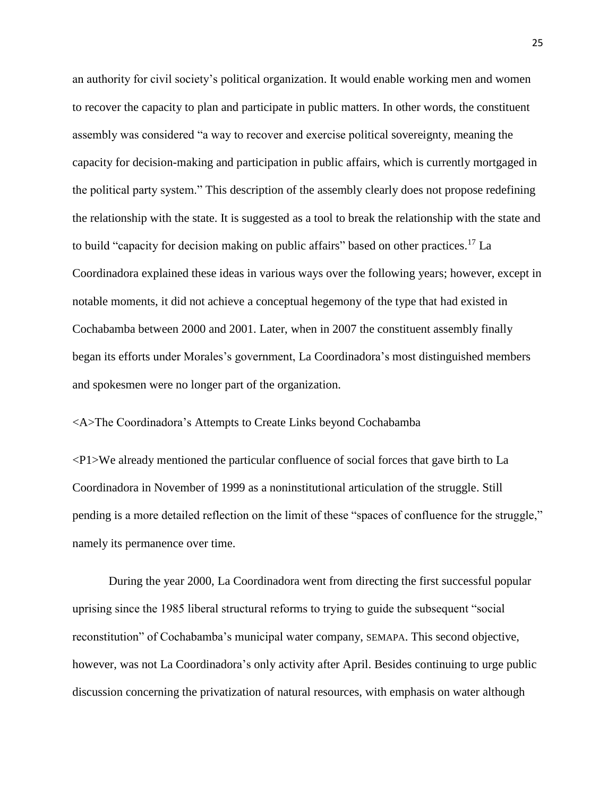an authority for civil society's political organization. It would enable working men and women to recover the capacity to plan and participate in public matters. In other words, the constituent assembly was considered "a way to recover and exercise political sovereignty, meaning the capacity for decision-making and participation in public affairs, which is currently mortgaged in the political party system." This description of the assembly clearly does not propose redefining the relationship with the state. It is suggested as a tool to break the relationship with the state and to build "capacity for decision making on public affairs" based on other practices.<sup>17</sup> La Coordinadora explained these ideas in various ways over the following years; however, except in notable moments, it did not achieve a conceptual hegemony of the type that had existed in Cochabamba between 2000 and 2001. Later, when in 2007 the constituent assembly finally began its efforts under Morales's government, La Coordinadora's most distinguished members and spokesmen were no longer part of the organization.

# <A>The Coordinadora's Attempts to Create Links beyond Cochabamba

<P1>We already mentioned the particular confluence of social forces that gave birth to La Coordinadora in November of 1999 as a noninstitutional articulation of the struggle. Still pending is a more detailed reflection on the limit of these "spaces of confluence for the struggle," namely its permanence over time.

During the year 2000, La Coordinadora went from directing the first successful popular uprising since the 1985 liberal structural reforms to trying to guide the subsequent "social reconstitution" of Cochabamba's municipal water company, SEMAPA. This second objective, however, was not La Coordinadora's only activity after April. Besides continuing to urge public discussion concerning the privatization of natural resources, with emphasis on water although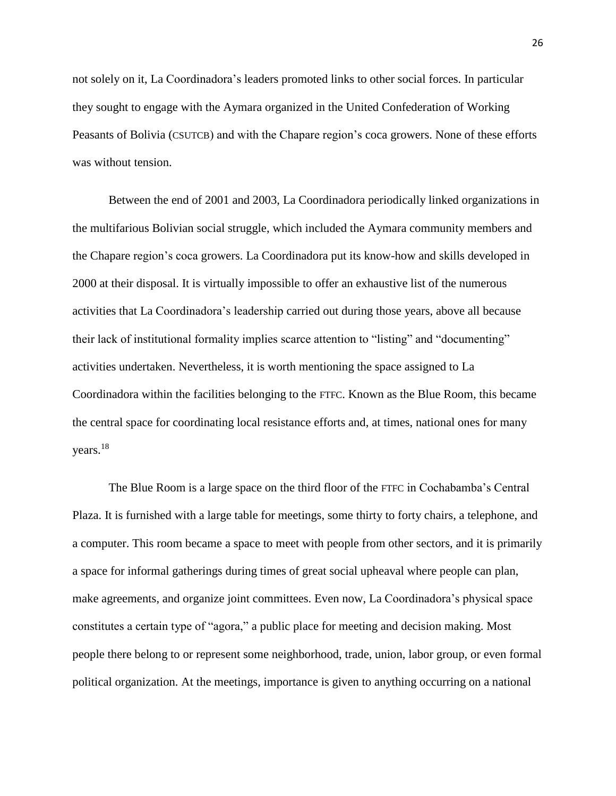not solely on it, La Coordinadora's leaders promoted links to other social forces. In particular they sought to engage with the Aymara organized in the United Confederation of Working Peasants of Bolivia (CSUTCB) and with the Chapare region's coca growers. None of these efforts was without tension.

Between the end of 2001 and 2003, La Coordinadora periodically linked organizations in the multifarious Bolivian social struggle, which included the Aymara community members and the Chapare region's coca growers. La Coordinadora put its know-how and skills developed in 2000 at their disposal. It is virtually impossible to offer an exhaustive list of the numerous activities that La Coordinadora's leadership carried out during those years, above all because their lack of institutional formality implies scarce attention to "listing" and "documenting" activities undertaken. Nevertheless, it is worth mentioning the space assigned to La Coordinadora within the facilities belonging to the FTFC. Known as the Blue Room, this became the central space for coordinating local resistance efforts and, at times, national ones for many years. 18

The Blue Room is a large space on the third floor of the FTFC in Cochabamba's Central Plaza. It is furnished with a large table for meetings, some thirty to forty chairs, a telephone, and a computer. This room became a space to meet with people from other sectors, and it is primarily a space for informal gatherings during times of great social upheaval where people can plan, make agreements, and organize joint committees. Even now, La Coordinadora's physical space constitutes a certain type of "agora," a public place for meeting and decision making. Most people there belong to or represent some neighborhood, trade, union, labor group, or even formal political organization. At the meetings, importance is given to anything occurring on a national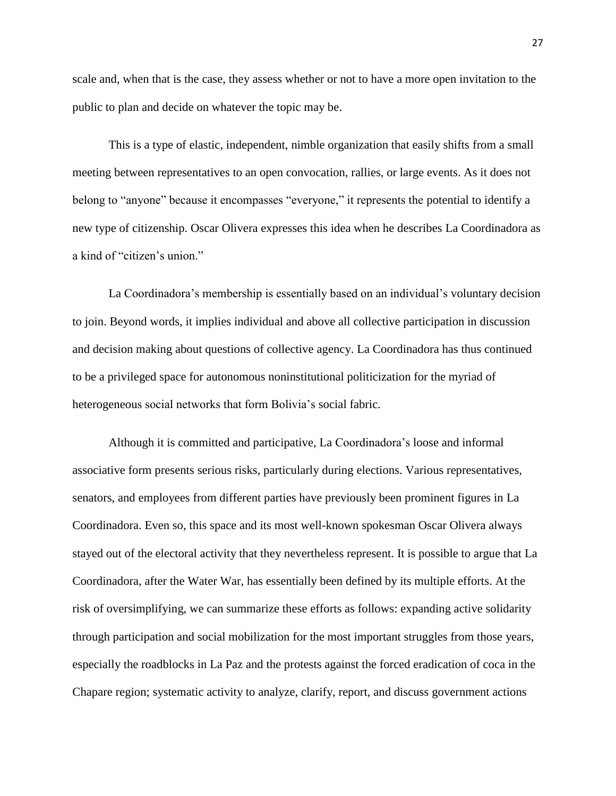scale and, when that is the case, they assess whether or not to have a more open invitation to the public to plan and decide on whatever the topic may be.

This is a type of elastic, independent, nimble organization that easily shifts from a small meeting between representatives to an open convocation, rallies, or large events. As it does not belong to "anyone" because it encompasses "everyone," it represents the potential to identify a new type of citizenship. Oscar Olivera expresses this idea when he describes La Coordinadora as a kind of "citizen's union."

La Coordinadora's membership is essentially based on an individual's voluntary decision to join. Beyond words, it implies individual and above all collective participation in discussion and decision making about questions of collective agency. La Coordinadora has thus continued to be a privileged space for autonomous noninstitutional politicization for the myriad of heterogeneous social networks that form Bolivia's social fabric.

Although it is committed and participative, La Coordinadora's loose and informal associative form presents serious risks, particularly during elections. Various representatives, senators, and employees from different parties have previously been prominent figures in La Coordinadora. Even so, this space and its most well-known spokesman Oscar Olivera always stayed out of the electoral activity that they nevertheless represent. It is possible to argue that La Coordinadora, after the Water War, has essentially been defined by its multiple efforts. At the risk of oversimplifying, we can summarize these efforts as follows: expanding active solidarity through participation and social mobilization for the most important struggles from those years, especially the roadblocks in La Paz and the protests against the forced eradication of coca in the Chapare region; systematic activity to analyze, clarify, report, and discuss government actions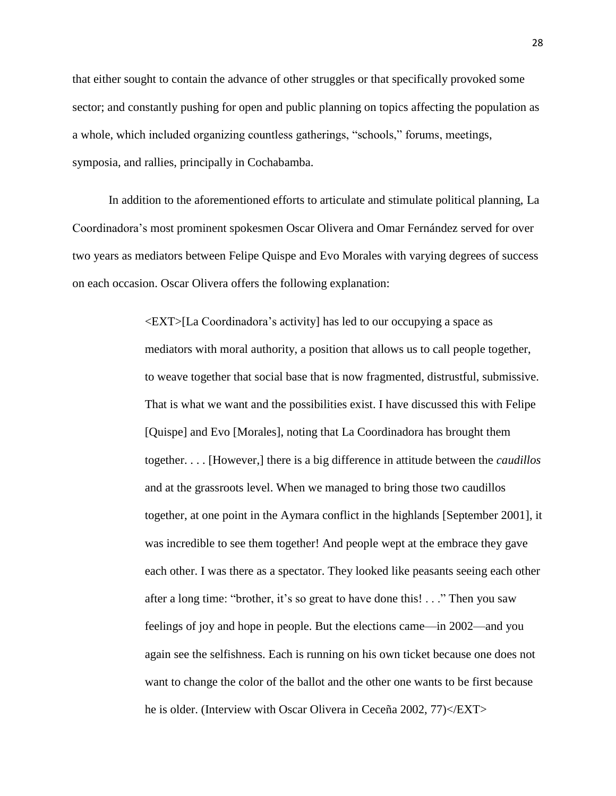that either sought to contain the advance of other struggles or that specifically provoked some sector; and constantly pushing for open and public planning on topics affecting the population as a whole, which included organizing countless gatherings, "schools," forums, meetings, symposia, and rallies, principally in Cochabamba.

In addition to the aforementioned efforts to articulate and stimulate political planning, La Coordinadora's most prominent spokesmen Oscar Olivera and Omar Fernández served for over two years as mediators between Felipe Quispe and Evo Morales with varying degrees of success on each occasion. Oscar Olivera offers the following explanation:

> <EXT>[La Coordinadora's activity] has led to our occupying a space as mediators with moral authority, a position that allows us to call people together, to weave together that social base that is now fragmented, distrustful, submissive. That is what we want and the possibilities exist. I have discussed this with Felipe [Quispe] and Evo [Morales], noting that La Coordinadora has brought them together. . . . [However,] there is a big difference in attitude between the *caudillos* and at the grassroots level. When we managed to bring those two caudillos together, at one point in the Aymara conflict in the highlands [September 2001], it was incredible to see them together! And people wept at the embrace they gave each other. I was there as a spectator. They looked like peasants seeing each other after a long time: "brother, it's so great to have done this! . . ." Then you saw feelings of joy and hope in people. But the elections came—in 2002—and you again see the selfishness. Each is running on his own ticket because one does not want to change the color of the ballot and the other one wants to be first because he is older. (Interview with Oscar Olivera in Ceceña 2002, 77)</EXT>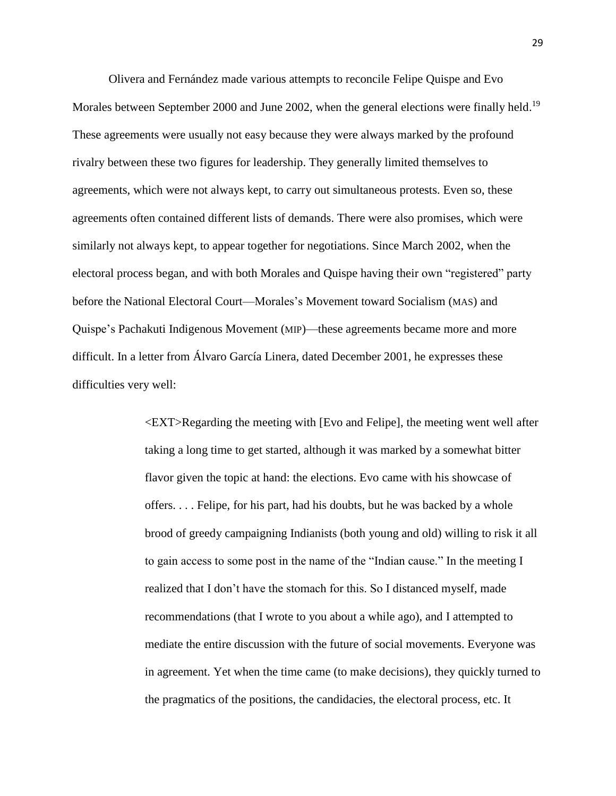Olivera and Fernández made various attempts to reconcile Felipe Quispe and Evo Morales between September 2000 and June 2002, when the general elections were finally held.<sup>19</sup> These agreements were usually not easy because they were always marked by the profound rivalry between these two figures for leadership. They generally limited themselves to agreements, which were not always kept, to carry out simultaneous protests. Even so, these agreements often contained different lists of demands. There were also promises, which were similarly not always kept, to appear together for negotiations. Since March 2002, when the electoral process began, and with both Morales and Quispe having their own "registered" party before the National Electoral Court—Morales's Movement toward Socialism (MAS) and Quispe's Pachakuti Indigenous Movement (MIP)—these agreements became more and more difficult. In a letter from Álvaro García Linera, dated December 2001, he expresses these difficulties very well:

> <EXT>Regarding the meeting with [Evo and Felipe], the meeting went well after taking a long time to get started, although it was marked by a somewhat bitter flavor given the topic at hand: the elections. Evo came with his showcase of offers. . . . Felipe, for his part, had his doubts, but he was backed by a whole brood of greedy campaigning Indianists (both young and old) willing to risk it all to gain access to some post in the name of the "Indian cause." In the meeting I realized that I don't have the stomach for this. So I distanced myself, made recommendations (that I wrote to you about a while ago), and I attempted to mediate the entire discussion with the future of social movements. Everyone was in agreement. Yet when the time came (to make decisions), they quickly turned to the pragmatics of the positions, the candidacies, the electoral process, etc. It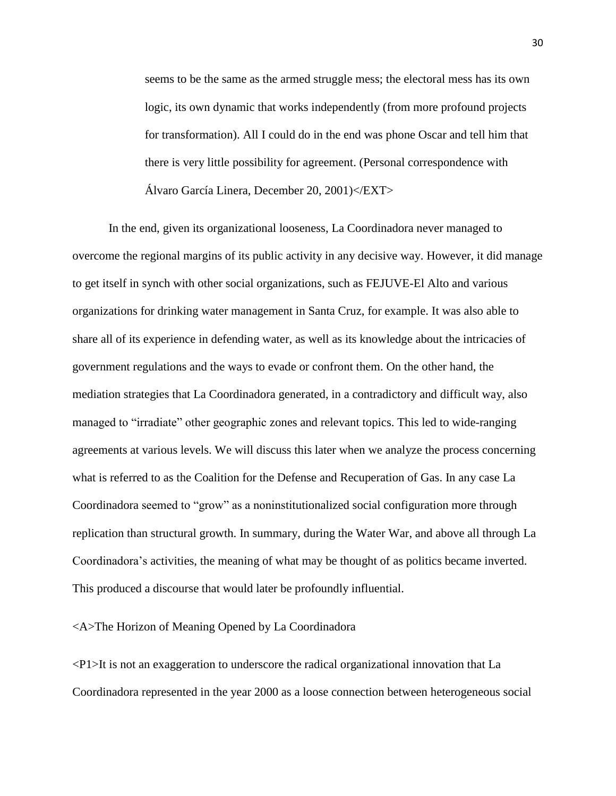seems to be the same as the armed struggle mess; the electoral mess has its own logic, its own dynamic that works independently (from more profound projects for transformation). All I could do in the end was phone Oscar and tell him that there is very little possibility for agreement. (Personal correspondence with Álvaro García Linera, December 20, 2001)</EXT>

In the end, given its organizational looseness, La Coordinadora never managed to overcome the regional margins of its public activity in any decisive way. However, it did manage to get itself in synch with other social organizations, such as FEJUVE-El Alto and various organizations for drinking water management in Santa Cruz, for example. It was also able to share all of its experience in defending water, as well as its knowledge about the intricacies of government regulations and the ways to evade or confront them. On the other hand, the mediation strategies that La Coordinadora generated, in a contradictory and difficult way, also managed to "irradiate" other geographic zones and relevant topics. This led to wide-ranging agreements at various levels. We will discuss this later when we analyze the process concerning what is referred to as the Coalition for the Defense and Recuperation of Gas. In any case La Coordinadora seemed to "grow" as a noninstitutionalized social configuration more through replication than structural growth. In summary, during the Water War, and above all through La Coordinadora's activities, the meaning of what may be thought of as politics became inverted. This produced a discourse that would later be profoundly influential.

## <A>The Horizon of Meaning Opened by La Coordinadora

 $\langle P_1 \rangle$ It is not an exaggeration to underscore the radical organizational innovation that La Coordinadora represented in the year 2000 as a loose connection between heterogeneous social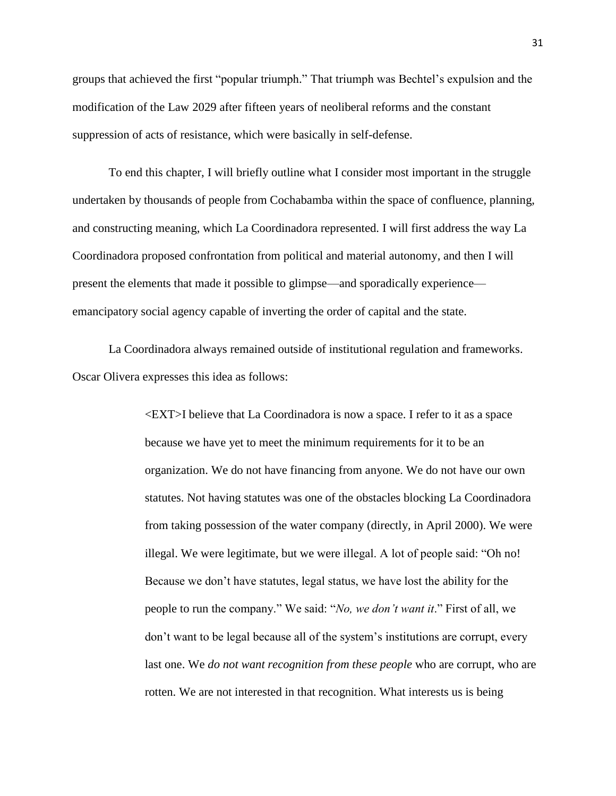groups that achieved the first "popular triumph." That triumph was Bechtel's expulsion and the modification of the Law 2029 after fifteen years of neoliberal reforms and the constant suppression of acts of resistance, which were basically in self-defense.

To end this chapter, I will briefly outline what I consider most important in the struggle undertaken by thousands of people from Cochabamba within the space of confluence, planning, and constructing meaning, which La Coordinadora represented. I will first address the way La Coordinadora proposed confrontation from political and material autonomy, and then I will present the elements that made it possible to glimpse—and sporadically experience emancipatory social agency capable of inverting the order of capital and the state.

La Coordinadora always remained outside of institutional regulation and frameworks. Oscar Olivera expresses this idea as follows:

> <EXT>I believe that La Coordinadora is now a space. I refer to it as a space because we have yet to meet the minimum requirements for it to be an organization. We do not have financing from anyone. We do not have our own statutes. Not having statutes was one of the obstacles blocking La Coordinadora from taking possession of the water company (directly, in April 2000). We were illegal. We were legitimate, but we were illegal. A lot of people said: "Oh no! Because we don't have statutes, legal status, we have lost the ability for the people to run the company." We said: "*No, we don't want it*." First of all, we don't want to be legal because all of the system's institutions are corrupt, every last one. We *do not want recognition from these people* who are corrupt, who are rotten. We are not interested in that recognition. What interests us is being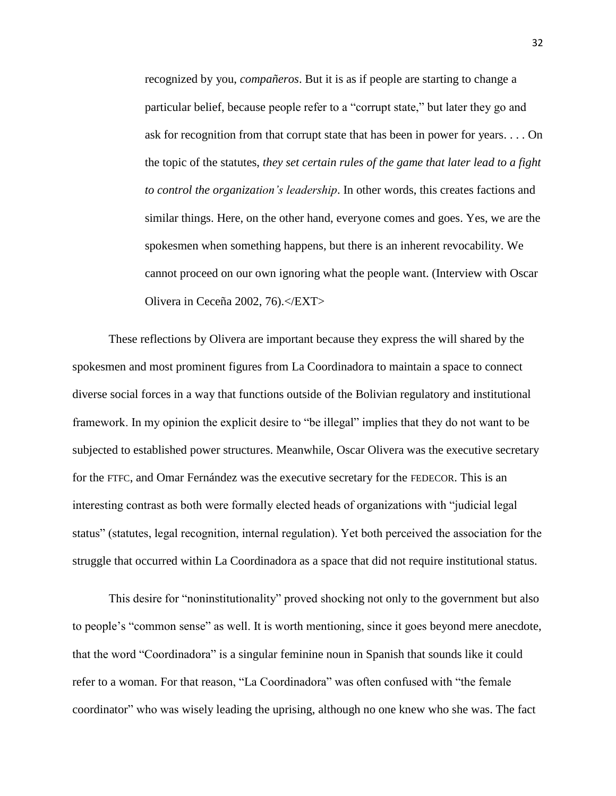recognized by you, *compañeros*. But it is as if people are starting to change a particular belief, because people refer to a "corrupt state," but later they go and ask for recognition from that corrupt state that has been in power for years. . . . On the topic of the statutes, *they set certain rules of the game that later lead to a fight to control the organization's leadership*. In other words, this creates factions and similar things. Here, on the other hand, everyone comes and goes. Yes, we are the spokesmen when something happens, but there is an inherent revocability. We cannot proceed on our own ignoring what the people want. (Interview with Oscar Olivera in Ceceña 2002, 76).</EXT>

These reflections by Olivera are important because they express the will shared by the spokesmen and most prominent figures from La Coordinadora to maintain a space to connect diverse social forces in a way that functions outside of the Bolivian regulatory and institutional framework. In my opinion the explicit desire to "be illegal" implies that they do not want to be subjected to established power structures. Meanwhile, Oscar Olivera was the executive secretary for the FTFC, and Omar Fernández was the executive secretary for the FEDECOR. This is an interesting contrast as both were formally elected heads of organizations with "judicial legal status" (statutes, legal recognition, internal regulation). Yet both perceived the association for the struggle that occurred within La Coordinadora as a space that did not require institutional status.

This desire for "noninstitutionality" proved shocking not only to the government but also to people's "common sense" as well. It is worth mentioning, since it goes beyond mere anecdote, that the word "Coordinadora" is a singular feminine noun in Spanish that sounds like it could refer to a woman. For that reason, "La Coordinadora" was often confused with "the female coordinator" who was wisely leading the uprising, although no one knew who she was. The fact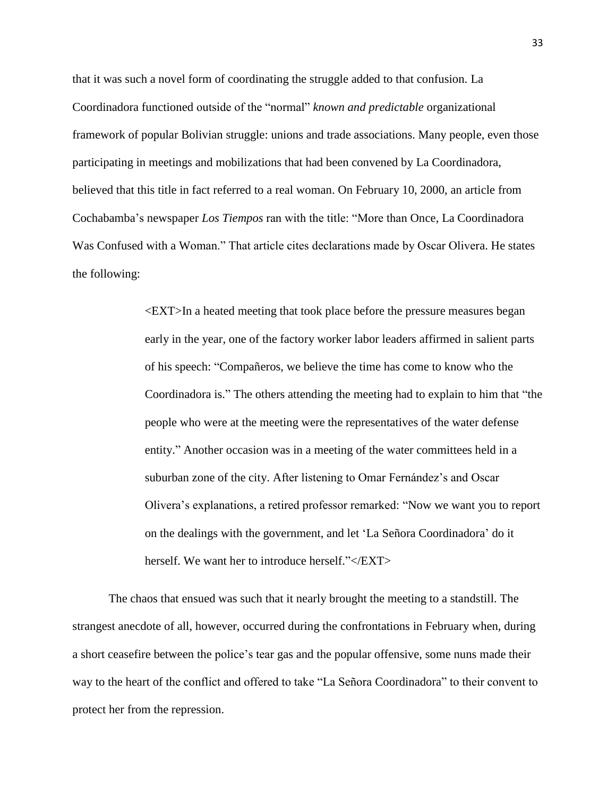that it was such a novel form of coordinating the struggle added to that confusion. La Coordinadora functioned outside of the "normal" *known and predictable* organizational framework of popular Bolivian struggle: unions and trade associations. Many people, even those participating in meetings and mobilizations that had been convened by La Coordinadora, believed that this title in fact referred to a real woman. On February 10, 2000, an article from Cochabamba's newspaper *Los Tiempos* ran with the title: "More than Once, La Coordinadora Was Confused with a Woman." That article cites declarations made by Oscar Olivera. He states the following:

> <EXT>In a heated meeting that took place before the pressure measures began early in the year, one of the factory worker labor leaders affirmed in salient parts of his speech: "Compañeros, we believe the time has come to know who the Coordinadora is." The others attending the meeting had to explain to him that "the people who were at the meeting were the representatives of the water defense entity." Another occasion was in a meeting of the water committees held in a suburban zone of the city. After listening to Omar Fernández's and Oscar Olivera's explanations, a retired professor remarked: "Now we want you to report on the dealings with the government, and let 'La Señora Coordinadora' do it herself. We want her to introduce herself."</EXT>

The chaos that ensued was such that it nearly brought the meeting to a standstill. The strangest anecdote of all, however, occurred during the confrontations in February when, during a short ceasefire between the police's tear gas and the popular offensive, some nuns made their way to the heart of the conflict and offered to take "La Señora Coordinadora" to their convent to protect her from the repression.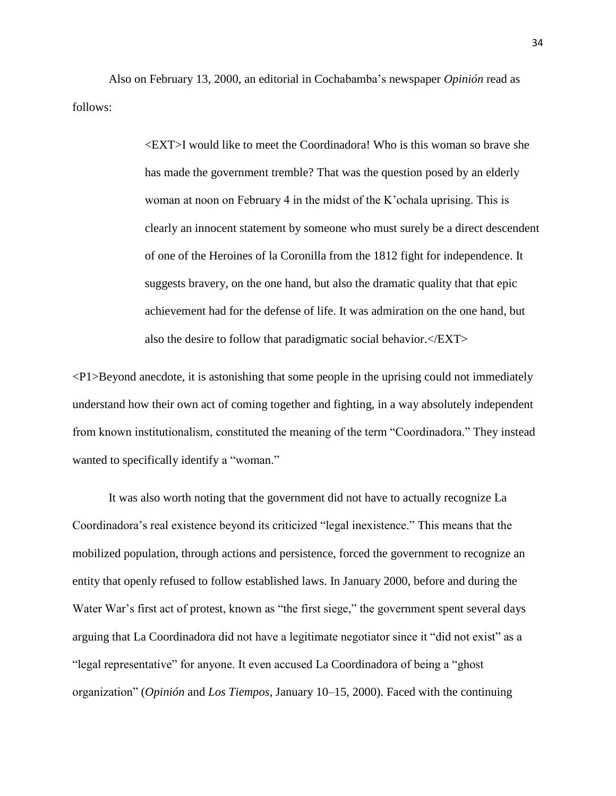Also on February 13, 2000, an editorial in Cochabamba's newspaper *Opinión* read as follows:

> <EXT>I would like to meet the Coordinadora! Who is this woman so brave she has made the government tremble? That was the question posed by an elderly woman at noon on February 4 in the midst of the K'ochala uprising. This is clearly an innocent statement by someone who must surely be a direct descendent of one of the Heroines of la Coronilla from the 1812 fight for independence. It suggests bravery, on the one hand, but also the dramatic quality that that epic achievement had for the defense of life. It was admiration on the one hand, but also the desire to follow that paradigmatic social behavior.</EXT>

 $\langle P1\rangle$ Beyond anecdote, it is astonishing that some people in the uprising could not immediately understand how their own act of coming together and fighting, in a way absolutely independent from known institutionalism, constituted the meaning of the term "Coordinadora." They instead wanted to specifically identify a "woman."

It was also worth noting that the government did not have to actually recognize La Coordinadora's real existence beyond its criticized "legal inexistence." This means that the mobilized population, through actions and persistence, forced the government to recognize an entity that openly refused to follow established laws. In January 2000, before and during the Water War's first act of protest, known as "the first siege," the government spent several days arguing that La Coordinadora did not have a legitimate negotiator since it "did not exist" as a "legal representative" for anyone. It even accused La Coordinadora of being a "ghost organization" (*Opinión* and *Los Tiempos*, January 10–15, 2000). Faced with the continuing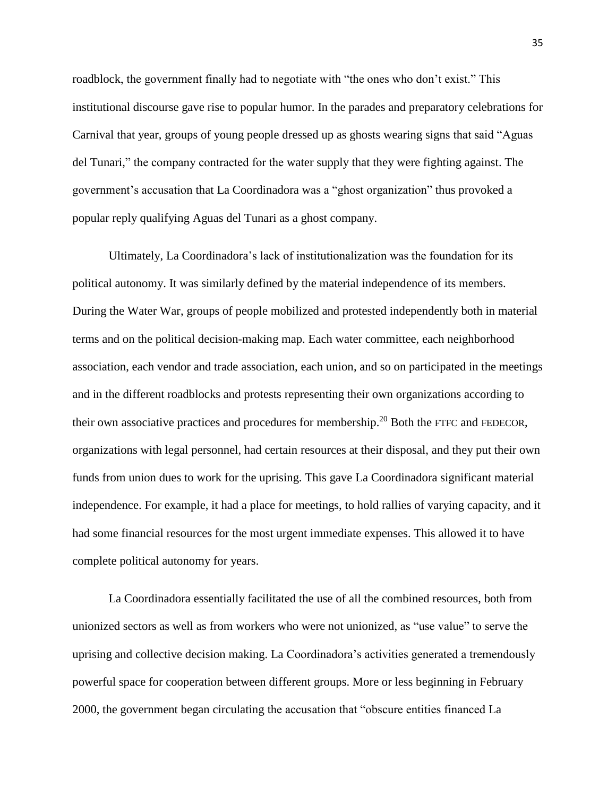roadblock, the government finally had to negotiate with "the ones who don't exist." This institutional discourse gave rise to popular humor. In the parades and preparatory celebrations for Carnival that year, groups of young people dressed up as ghosts wearing signs that said "Aguas del Tunari," the company contracted for the water supply that they were fighting against. The government's accusation that La Coordinadora was a "ghost organization" thus provoked a popular reply qualifying Aguas del Tunari as a ghost company.

Ultimately, La Coordinadora's lack of institutionalization was the foundation for its political autonomy. It was similarly defined by the material independence of its members. During the Water War, groups of people mobilized and protested independently both in material terms and on the political decision-making map. Each water committee, each neighborhood association, each vendor and trade association, each union, and so on participated in the meetings and in the different roadblocks and protests representing their own organizations according to their own associative practices and procedures for membership.<sup>20</sup> Both the FTFC and FEDECOR, organizations with legal personnel, had certain resources at their disposal, and they put their own funds from union dues to work for the uprising. This gave La Coordinadora significant material independence. For example, it had a place for meetings, to hold rallies of varying capacity, and it had some financial resources for the most urgent immediate expenses. This allowed it to have complete political autonomy for years.

La Coordinadora essentially facilitated the use of all the combined resources, both from unionized sectors as well as from workers who were not unionized, as "use value" to serve the uprising and collective decision making. La Coordinadora's activities generated a tremendously powerful space for cooperation between different groups. More or less beginning in February 2000, the government began circulating the accusation that "obscure entities financed La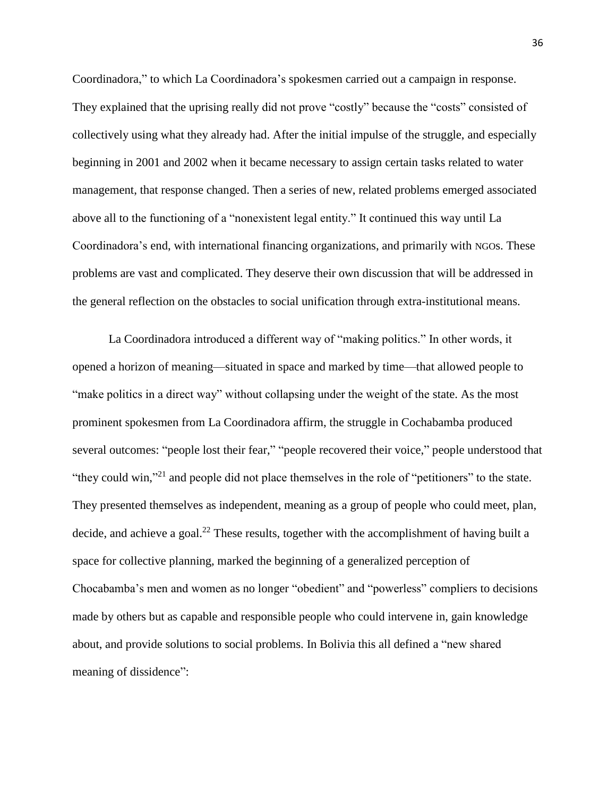Coordinadora," to which La Coordinadora's spokesmen carried out a campaign in response. They explained that the uprising really did not prove "costly" because the "costs" consisted of collectively using what they already had. After the initial impulse of the struggle, and especially beginning in 2001 and 2002 when it became necessary to assign certain tasks related to water management, that response changed. Then a series of new, related problems emerged associated above all to the functioning of a "nonexistent legal entity." It continued this way until La Coordinadora's end, with international financing organizations, and primarily with NGOs. These problems are vast and complicated. They deserve their own discussion that will be addressed in the general reflection on the obstacles to social unification through extra-institutional means.

La Coordinadora introduced a different way of "making politics." In other words, it opened a horizon of meaning—situated in space and marked by time—that allowed people to "make politics in a direct way" without collapsing under the weight of the state. As the most prominent spokesmen from La Coordinadora affirm, the struggle in Cochabamba produced several outcomes: "people lost their fear," "people recovered their voice," people understood that "they could win,"<sup>21</sup> and people did not place themselves in the role of "petitioners" to the state. They presented themselves as independent, meaning as a group of people who could meet, plan, decide, and achieve a goal.<sup>22</sup> These results, together with the accomplishment of having built a space for collective planning, marked the beginning of a generalized perception of Chocabamba's men and women as no longer "obedient" and "powerless" compliers to decisions made by others but as capable and responsible people who could intervene in, gain knowledge about, and provide solutions to social problems. In Bolivia this all defined a "new shared meaning of dissidence":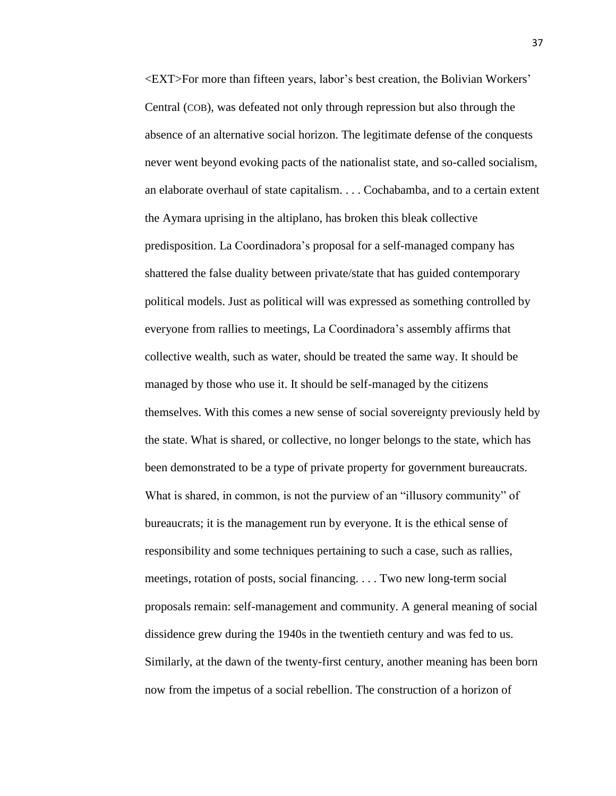<EXT>For more than fifteen years, labor's best creation, the Bolivian Workers' Central (COB), was defeated not only through repression but also through the absence of an alternative social horizon. The legitimate defense of the conquests never went beyond evoking pacts of the nationalist state, and so-called socialism, an elaborate overhaul of state capitalism. . . . Cochabamba, and to a certain extent the Aymara uprising in the altiplano, has broken this bleak collective predisposition. La Coordinadora's proposal for a self-managed company has shattered the false duality between private/state that has guided contemporary political models. Just as political will was expressed as something controlled by everyone from rallies to meetings, La Coordinadora's assembly affirms that collective wealth, such as water, should be treated the same way. It should be managed by those who use it. It should be self-managed by the citizens themselves. With this comes a new sense of social sovereignty previously held by the state. What is shared, or collective, no longer belongs to the state, which has been demonstrated to be a type of private property for government bureaucrats. What is shared, in common, is not the purview of an "illusory community" of bureaucrats; it is the management run by everyone. It is the ethical sense of responsibility and some techniques pertaining to such a case, such as rallies, meetings, rotation of posts, social financing. . . . Two new long-term social proposals remain: self-management and community. A general meaning of social dissidence grew during the 1940s in the twentieth century and was fed to us. Similarly, at the dawn of the twenty-first century, another meaning has been born now from the impetus of a social rebellion. The construction of a horizon of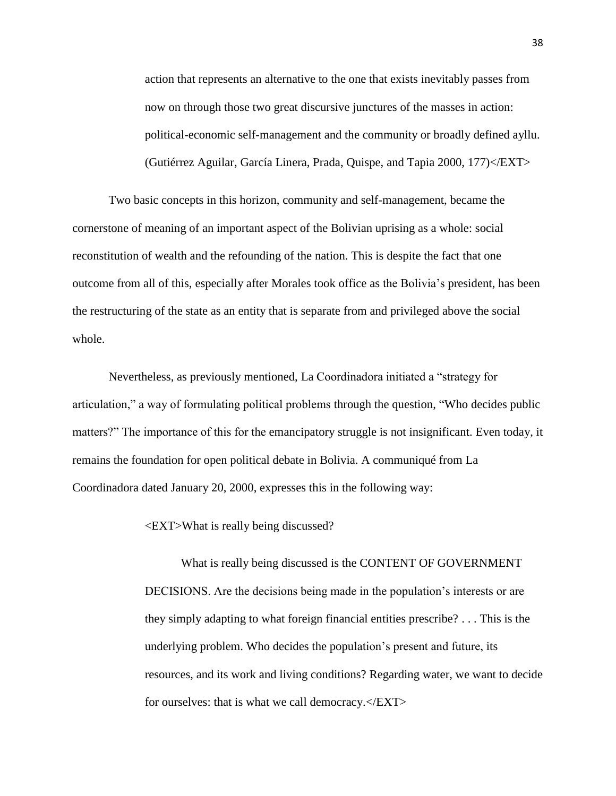action that represents an alternative to the one that exists inevitably passes from now on through those two great discursive junctures of the masses in action: political-economic self-management and the community or broadly defined ayllu. (Gutiérrez Aguilar, García Linera, Prada, Quispe, and Tapia 2000, 177)</EXT>

Two basic concepts in this horizon, community and self-management, became the cornerstone of meaning of an important aspect of the Bolivian uprising as a whole: social reconstitution of wealth and the refounding of the nation. This is despite the fact that one outcome from all of this, especially after Morales took office as the Bolivia's president, has been the restructuring of the state as an entity that is separate from and privileged above the social whole.

Nevertheless, as previously mentioned, La Coordinadora initiated a "strategy for articulation," a way of formulating political problems through the question, "Who decides public matters?" The importance of this for the emancipatory struggle is not insignificant. Even today, it remains the foundation for open political debate in Bolivia. A communiqué from La Coordinadora dated January 20, 2000, expresses this in the following way:

<EXT>What is really being discussed?

What is really being discussed is the CONTENT OF GOVERNMENT DECISIONS. Are the decisions being made in the population's interests or are they simply adapting to what foreign financial entities prescribe? . . . This is the underlying problem. Who decides the population's present and future, its resources, and its work and living conditions? Regarding water, we want to decide for ourselves: that is what we call democracy.</EXT>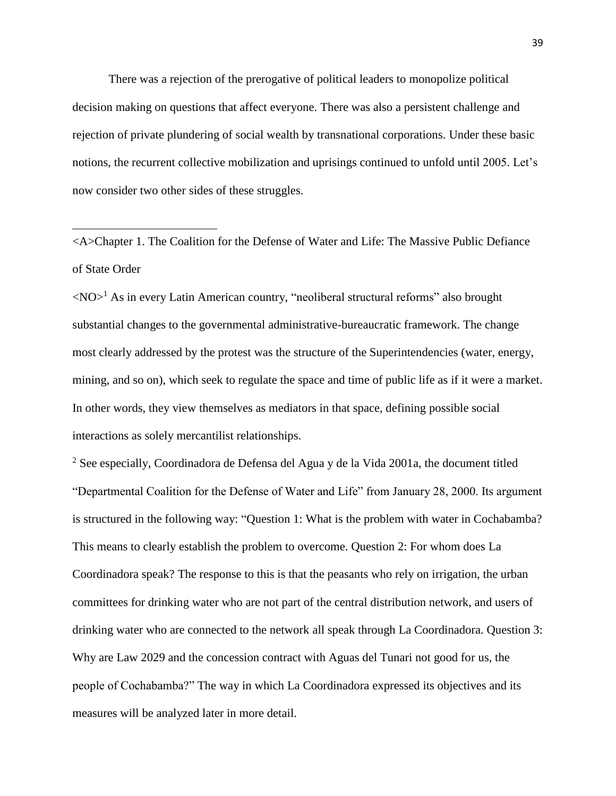There was a rejection of the prerogative of political leaders to monopolize political decision making on questions that affect everyone. There was also a persistent challenge and rejection of private plundering of social wealth by transnational corporations. Under these basic notions, the recurrent collective mobilization and uprisings continued to unfold until 2005. Let's now consider two other sides of these struggles.

<A>Chapter 1. The Coalition for the Defense of Water and Life: The Massive Public Defiance of State Order

 $\overline{\phantom{a}}$ 

 $\langle NO \rangle$ <sup>1</sup> As in every Latin American country, "neoliberal structural reforms" also brought substantial changes to the governmental administrative-bureaucratic framework. The change most clearly addressed by the protest was the structure of the Superintendencies (water, energy, mining, and so on), which seek to regulate the space and time of public life as if it were a market. In other words, they view themselves as mediators in that space, defining possible social interactions as solely mercantilist relationships.

<sup>2</sup> See especially, Coordinadora de Defensa del Agua y de la Vida 2001a, the document titled "Departmental Coalition for the Defense of Water and Life" from January 28, 2000. Its argument is structured in the following way: "Question 1: What is the problem with water in Cochabamba? This means to clearly establish the problem to overcome. Question 2: For whom does La Coordinadora speak? The response to this is that the peasants who rely on irrigation, the urban committees for drinking water who are not part of the central distribution network, and users of drinking water who are connected to the network all speak through La Coordinadora. Question 3: Why are Law 2029 and the concession contract with Aguas del Tunari not good for us, the people of Cochabamba?" The way in which La Coordinadora expressed its objectives and its measures will be analyzed later in more detail.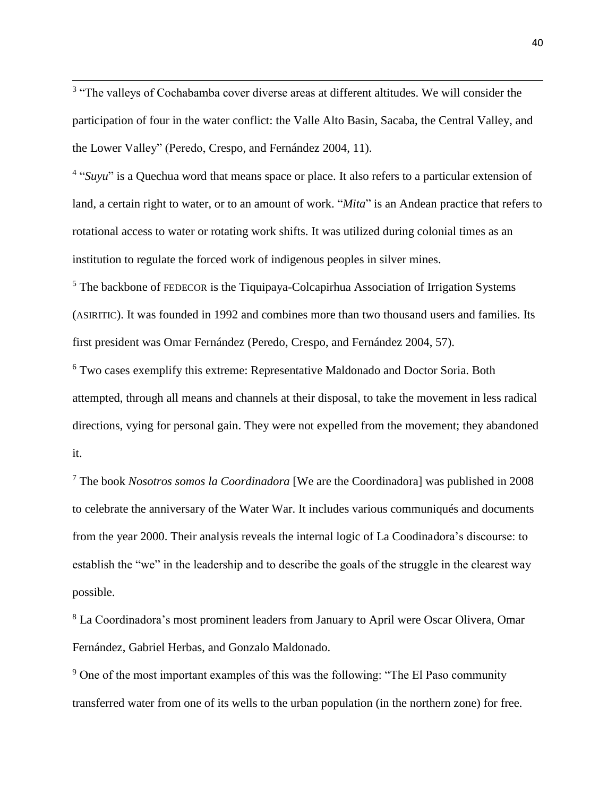<sup>3</sup> "The valleys of Cochabamba cover diverse areas at different altitudes. We will consider the participation of four in the water conflict: the Valle Alto Basin, Sacaba, the Central Valley, and the Lower Valley" (Peredo, Crespo, and Fernández 2004, 11).

 $\overline{\phantom{a}}$ 

<sup>4</sup> "Suyu" is a Quechua word that means space or place. It also refers to a particular extension of land, a certain right to water, or to an amount of work. "*Mita*" is an Andean practice that refers to rotational access to water or rotating work shifts. It was utilized during colonial times as an institution to regulate the forced work of indigenous peoples in silver mines.

<sup>5</sup> The backbone of FEDECOR is the Tiquipaya-Colcapirhua Association of Irrigation Systems (ASIRITIC). It was founded in 1992 and combines more than two thousand users and families. Its first president was Omar Fernández (Peredo, Crespo, and Fernández 2004, 57).

<sup>6</sup> Two cases exemplify this extreme: Representative Maldonado and Doctor Soria. Both attempted, through all means and channels at their disposal, to take the movement in less radical directions, vying for personal gain. They were not expelled from the movement; they abandoned it.

<sup>7</sup> The book *Nosotros somos la Coordinadora* [We are the Coordinadora] was published in 2008 to celebrate the anniversary of the Water War. It includes various communiqués and documents from the year 2000. Their analysis reveals the internal logic of La Coodinadora's discourse: to establish the "we" in the leadership and to describe the goals of the struggle in the clearest way possible.

<sup>8</sup> La Coordinadora's most prominent leaders from January to April were Oscar Olivera, Omar Fernández, Gabriel Herbas, and Gonzalo Maldonado.

<sup>9</sup> One of the most important examples of this was the following: "The El Paso community" transferred water from one of its wells to the urban population (in the northern zone) for free.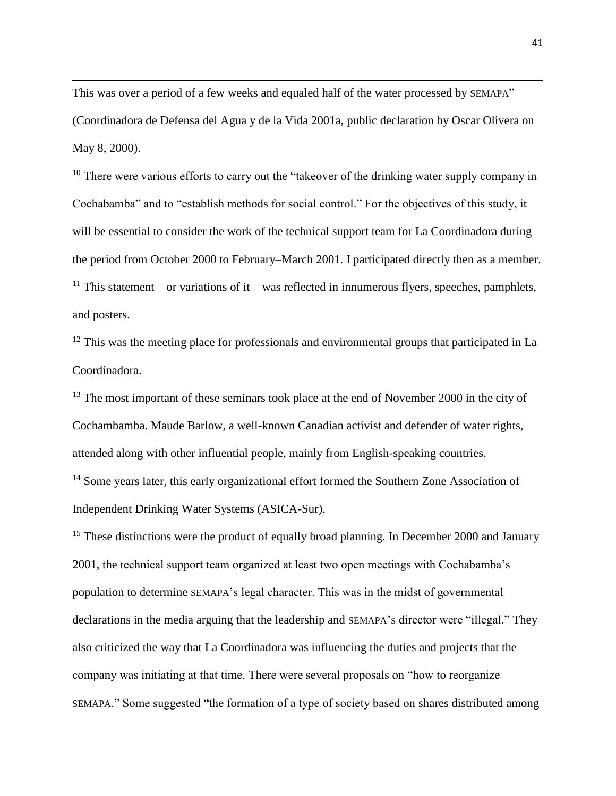This was over a period of a few weeks and equaled half of the water processed by SEMAPA" (Coordinadora de Defensa del Agua y de la Vida 2001a, public declaration by Oscar Olivera on May 8, 2000).

 $\overline{\phantom{a}}$ 

<sup>10</sup> There were various efforts to carry out the "takeover of the drinking water supply company in Cochabamba" and to "establish methods for social control." For the objectives of this study, it will be essential to consider the work of the technical support team for La Coordinadora during the period from October 2000 to February–March 2001. I participated directly then as a member.  $11$  This statement—or variations of it—was reflected in innumerous flyers, speeches, pamphlets, and posters.

<sup>12</sup> This was the meeting place for professionals and environmental groups that participated in La Coordinadora.

<sup>13</sup> The most important of these seminars took place at the end of November 2000 in the city of Cochambamba. Maude Barlow, a well-known Canadian activist and defender of water rights, attended along with other influential people, mainly from English-speaking countries.

<sup>14</sup> Some years later, this early organizational effort formed the Southern Zone Association of Independent Drinking Water Systems (ASICA-Sur).

 $15$  These distinctions were the product of equally broad planning. In December 2000 and January 2001, the technical support team organized at least two open meetings with Cochabamba's population to determine SEMAPA's legal character. This was in the midst of governmental declarations in the media arguing that the leadership and SEMAPA's director were "illegal." They also criticized the way that La Coordinadora was influencing the duties and projects that the company was initiating at that time. There were several proposals on "how to reorganize SEMAPA." Some suggested "the formation of a type of society based on shares distributed among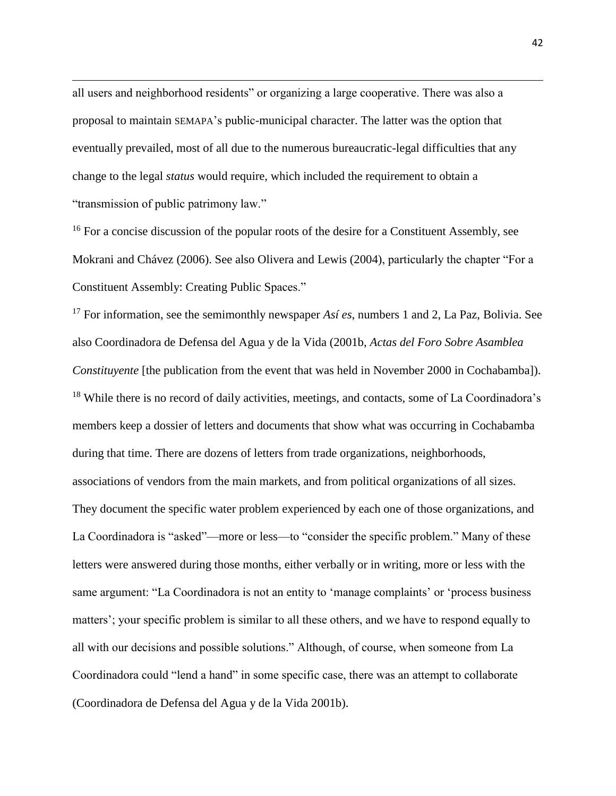all users and neighborhood residents" or organizing a large cooperative. There was also a proposal to maintain SEMAPA's public-municipal character. The latter was the option that eventually prevailed, most of all due to the numerous bureaucratic-legal difficulties that any change to the legal *status* would require, which included the requirement to obtain a "transmission of public patrimony law."

 $\overline{\phantom{a}}$ 

<sup>16</sup> For a concise discussion of the popular roots of the desire for a Constituent Assembly, see Mokrani and Chávez (2006). See also Olivera and Lewis (2004), particularly the chapter "For a Constituent Assembly: Creating Public Spaces."

<sup>17</sup> For information, see the semimonthly newspaper *Así es*, numbers 1 and 2, La Paz, Bolivia. See also Coordinadora de Defensa del Agua y de la Vida (2001b, *Actas del Foro Sobre Asamblea Constituyente* [the publication from the event that was held in November 2000 in Cochabamba]). <sup>18</sup> While there is no record of daily activities, meetings, and contacts, some of La Coordinadora's members keep a dossier of letters and documents that show what was occurring in Cochabamba during that time. There are dozens of letters from trade organizations, neighborhoods, associations of vendors from the main markets, and from political organizations of all sizes. They document the specific water problem experienced by each one of those organizations, and La Coordinadora is "asked"—more or less—to "consider the specific problem." Many of these letters were answered during those months, either verbally or in writing, more or less with the same argument: "La Coordinadora is not an entity to 'manage complaints' or 'process business matters'; your specific problem is similar to all these others, and we have to respond equally to all with our decisions and possible solutions." Although, of course, when someone from La Coordinadora could "lend a hand" in some specific case, there was an attempt to collaborate (Coordinadora de Defensa del Agua y de la Vida 2001b).